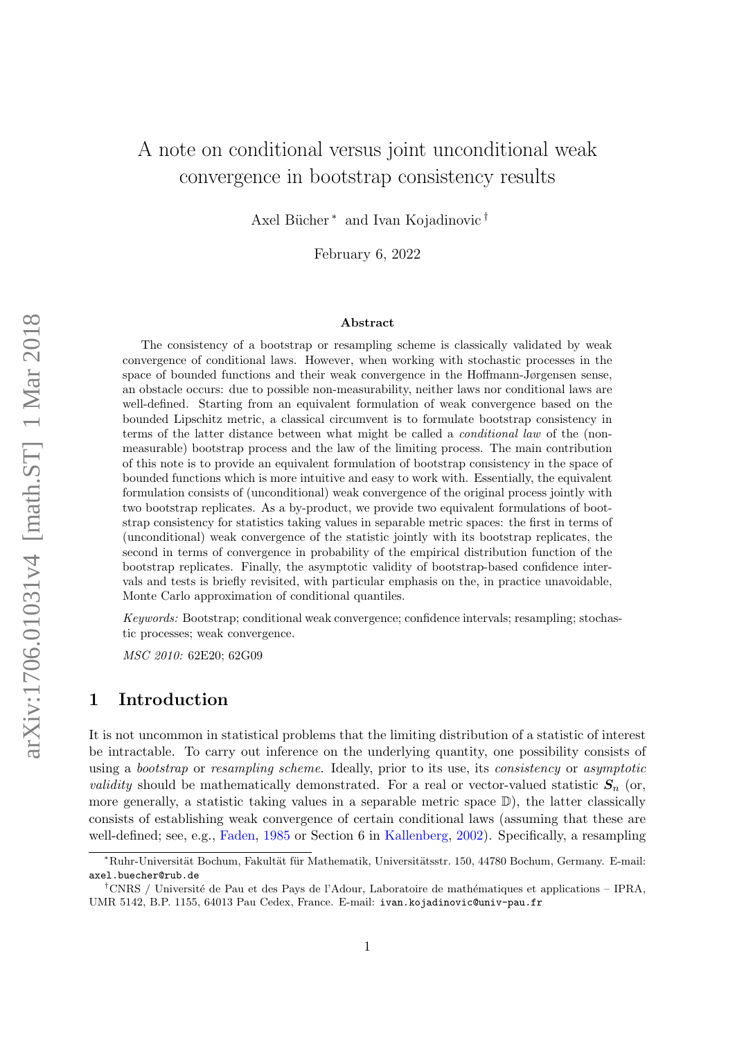## A note on conditional versus joint unconditional weak convergence in bootstrap consistency results

Axel Bücher<sup>∗</sup> and Ivan Kojadinovic<sup>†</sup>

February 6, 2022

#### Abstract

The consistency of a bootstrap or resampling scheme is classically validated by weak convergence of conditional laws. However, when working with stochastic processes in the space of bounded functions and their weak convergence in the Hoffmann-Jørgensen sense, an obstacle occurs: due to possible non-measurability, neither laws nor conditional laws are well-defined. Starting from an equivalent formulation of weak convergence based on the bounded Lipschitz metric, a classical circumvent is to formulate bootstrap consistency in terms of the latter distance between what might be called a conditional law of the (nonmeasurable) bootstrap process and the law of the limiting process. The main contribution of this note is to provide an equivalent formulation of bootstrap consistency in the space of bounded functions which is more intuitive and easy to work with. Essentially, the equivalent formulation consists of (unconditional) weak convergence of the original process jointly with two bootstrap replicates. As a by-product, we provide two equivalent formulations of bootstrap consistency for statistics taking values in separable metric spaces: the first in terms of (unconditional) weak convergence of the statistic jointly with its bootstrap replicates, the second in terms of convergence in probability of the empirical distribution function of the bootstrap replicates. Finally, the asymptotic validity of bootstrap-based confidence intervals and tests is briefly revisited, with particular emphasis on the, in practice unavoidable, Monte Carlo approximation of conditional quantiles.

Keywords: Bootstrap; conditional weak convergence; confidence intervals; resampling; stochastic processes; weak convergence.

MSC 2010: 62E20; 62G09

#### 1 Introduction

It is not uncommon in statistical problems that the limiting distribution of a statistic of interest be intractable. To carry out inference on the underlying quantity, one possibility consists of using a bootstrap or resampling scheme. Ideally, prior to its use, its consistency or asymptotic *validity* should be mathematically demonstrated. For a real or vector-valued statistic  $S_n$  (or, more generally, a statistic taking values in a separable metric space  $\mathbb{D}$ ), the latter classically consists of establishing weak convergence of certain conditional laws (assuming that these are well-defined; see, e.g., [Faden,](#page-17-0) [1985](#page-17-0) or Section 6 in [Kallenberg,](#page-17-1) [2002\)](#page-17-1). Specifically, a resampling

<sup>∗</sup>Ruhr-Universit¨at Bochum, Fakult¨at f¨ur Mathematik, Universit¨atsstr. 150, 44780 Bochum, Germany. E-mail: axel.buecher@rub.de

<sup>&</sup>lt;sup>†</sup>CNRS / Université de Pau et des Pays de l'Adour, Laboratoire de mathématiques et applications – IPRA, UMR 5142, B.P. 1155, 64013 Pau Cedex, France. E-mail: ivan.kojadinovic@univ-pau.fr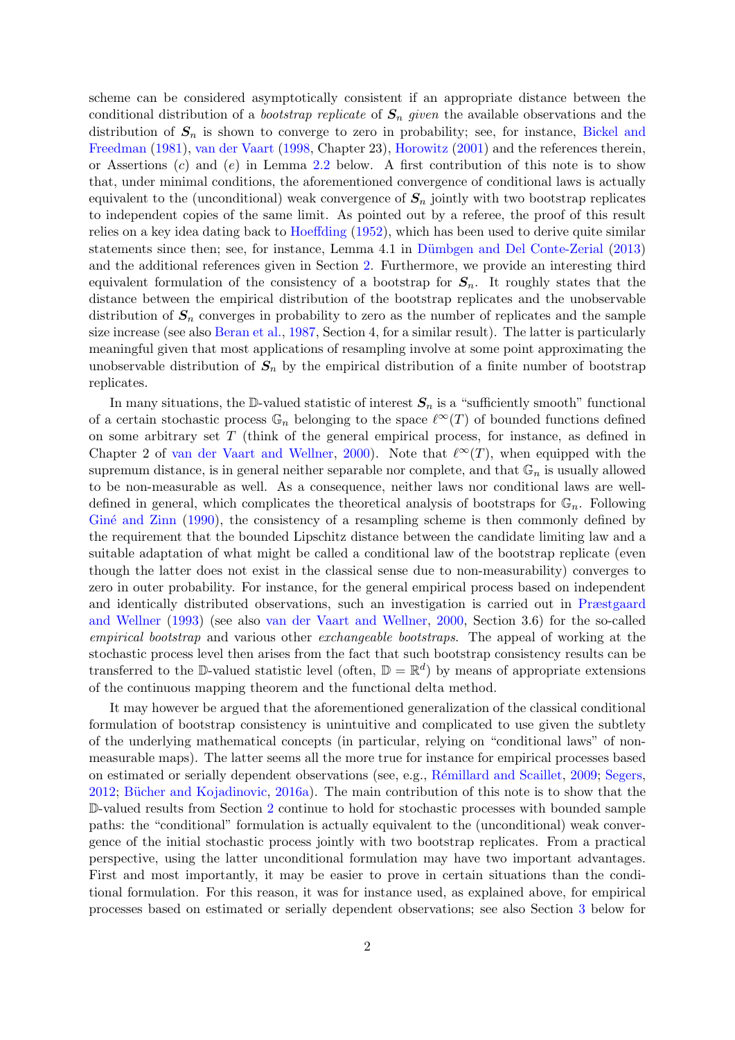scheme can be considered asymptotically consistent if an appropriate distance between the conditional distribution of a *bootstrap replicate* of  $S_n$  given the available observations and the distribution of  $S_n$  is shown to converge to zero in probability; see, for instance, [Bickel and](#page-16-0) [Freedman](#page-16-0) [\(1981\)](#page-16-0), [van der Vaart](#page-17-2) [\(1998,](#page-17-2) Chapter 23), [Horowitz](#page-17-3) [\(2001\)](#page-17-3) and the references therein, or Assertions  $(c)$  and  $(e)$  in Lemma [2.2](#page-4-0) below. A first contribution of this note is to show that, under minimal conditions, the aforementioned convergence of conditional laws is actually equivalent to the (unconditional) weak convergence of  $S_n$  jointly with two bootstrap replicates to independent copies of the same limit. As pointed out by a referee, the proof of this result relies on a key idea dating back to [Hoeffding](#page-17-4) [\(1952\)](#page-17-4), which has been used to derive quite similar statements since then; see, for instance, Lemma 4.1 in Dümbgen and Del Conte-Zerial  $(2013)$ and the additional references given in Section [2.](#page-2-0) Furthermore, we provide an interesting third equivalent formulation of the consistency of a bootstrap for  $S_n$ . It roughly states that the distance between the empirical distribution of the bootstrap replicates and the unobservable distribution of  $S_n$  converges in probability to zero as the number of replicates and the sample size increase (see also [Beran et al.,](#page-16-2) [1987,](#page-16-2) Section 4, for a similar result). The latter is particularly meaningful given that most applications of resampling involve at some point approximating the unobservable distribution of  $S_n$  by the empirical distribution of a finite number of bootstrap replicates.

In many situations, the D-valued statistic of interest  $S_n$  is a "sufficiently smooth" functional of a certain stochastic process  $\mathbb{G}_n$  belonging to the space  $\ell^{\infty}(T)$  of bounded functions defined on some arbitrary set T (think of the general empirical process, for instance, as defined in Chapter 2 of [van der Vaart and Wellner,](#page-17-5) [2000\)](#page-17-5). Note that  $\ell^{\infty}(T)$ , when equipped with the supremum distance, is in general neither separable nor complete, and that  $\mathbb{G}_n$  is usually allowed to be non-measurable as well. As a consequence, neither laws nor conditional laws are welldefined in general, which complicates the theoretical analysis of bootstraps for  $\mathbb{G}_n$ . Following Giné and Zinn [\(1990\)](#page-17-6), the consistency of a resampling scheme is then commonly defined by the requirement that the bounded Lipschitz distance between the candidate limiting law and a suitable adaptation of what might be called a conditional law of the bootstrap replicate (even though the latter does not exist in the classical sense due to non-measurability) converges to zero in outer probability. For instance, for the general empirical process based on independent and identically distributed observations, such an investigation is carried out in [Præstgaard](#page-17-7) [and Wellner](#page-17-7) [\(1993\)](#page-17-7) (see also [van der Vaart and Wellner,](#page-17-5) [2000,](#page-17-5) Section 3.6) for the so-called empirical bootstrap and various other exchangeable bootstraps. The appeal of working at the stochastic process level then arises from the fact that such bootstrap consistency results can be transferred to the D-valued statistic level (often,  $\mathbb{D} = \mathbb{R}^d$ ) by means of appropriate extensions of the continuous mapping theorem and the functional delta method.

It may however be argued that the aforementioned generalization of the classical conditional formulation of bootstrap consistency is unintuitive and complicated to use given the subtlety of the underlying mathematical concepts (in particular, relying on "conditional laws" of nonmeasurable maps). The latter seems all the more true for instance for empirical processes based on estimated or serially dependent observations (see, e.g., Rémillard and Scaillet, [2009;](#page-17-8) [Segers,](#page-17-9) [2012;](#page-17-9) Bücher and Kojadinovic,  $2016a$ ). The main contribution of this note is to show that the D-valued results from Section [2](#page-2-0) continue to hold for stochastic processes with bounded sample paths: the "conditional" formulation is actually equivalent to the (unconditional) weak convergence of the initial stochastic process jointly with two bootstrap replicates. From a practical perspective, using the latter unconditional formulation may have two important advantages. First and most importantly, it may be easier to prove in certain situations than the conditional formulation. For this reason, it was for instance used, as explained above, for empirical processes based on estimated or serially dependent observations; see also Section [3](#page-7-0) below for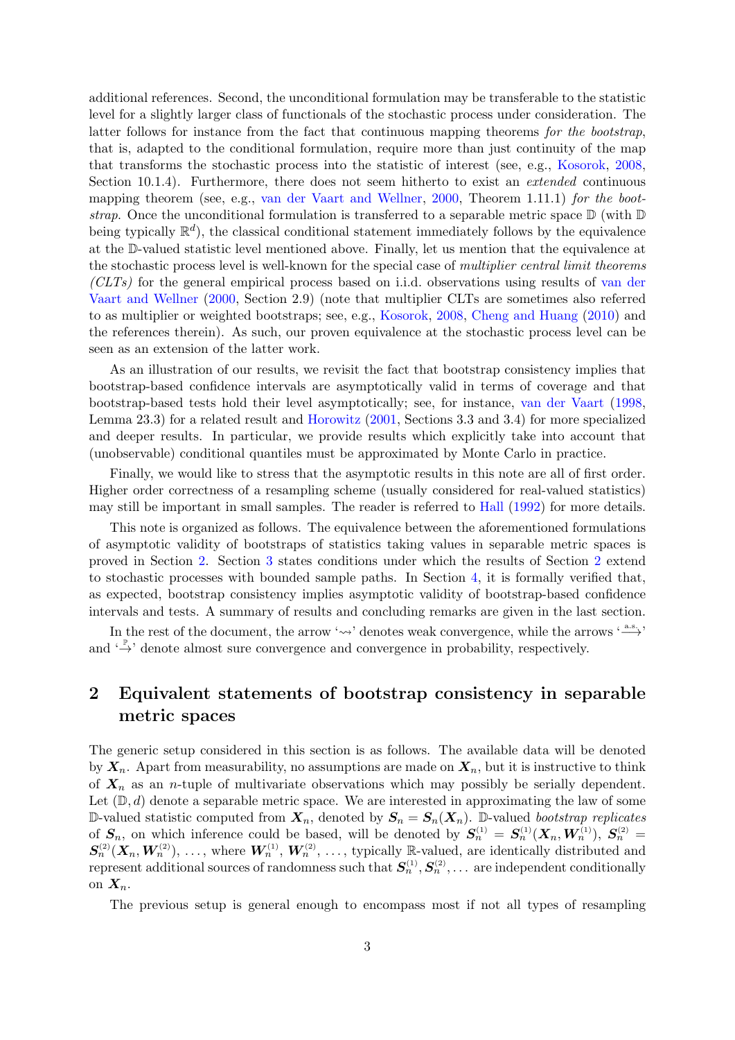additional references. Second, the unconditional formulation may be transferable to the statistic level for a slightly larger class of functionals of the stochastic process under consideration. The latter follows for instance from the fact that continuous mapping theorems for the bootstrap, that is, adapted to the conditional formulation, require more than just continuity of the map that transforms the stochastic process into the statistic of interest (see, e.g., [Kosorok,](#page-17-10) [2008,](#page-17-10) Section 10.1.4). Furthermore, there does not seem hitherto to exist an *extended* continuous mapping theorem (see, e.g., [van der Vaart and Wellner,](#page-17-5) [2000,](#page-17-5) Theorem 1.11.1) for the bootstrap. Once the unconditional formulation is transferred to a separable metric space  $\mathbb D$  (with  $\mathbb D$ ) being typically  $\mathbb{R}^d$ ), the classical conditional statement immediately follows by the equivalence at the D-valued statistic level mentioned above. Finally, let us mention that the equivalence at the stochastic process level is well-known for the special case of multiplier central limit theorems  $(CLTs)$  for the general empirical process based on i.i.d. observations using results of [van der](#page-17-5) [Vaart and Wellner](#page-17-5) [\(2000,](#page-17-5) Section 2.9) (note that multiplier CLTs are sometimes also referred to as multiplier or weighted bootstraps; see, e.g., [Kosorok,](#page-17-10) [2008,](#page-17-10) [Cheng and Huang](#page-16-4) [\(2010\)](#page-16-4) and the references therein). As such, our proven equivalence at the stochastic process level can be seen as an extension of the latter work.

As an illustration of our results, we revisit the fact that bootstrap consistency implies that bootstrap-based confidence intervals are asymptotically valid in terms of coverage and that bootstrap-based tests hold their level asymptotically; see, for instance, [van der Vaart](#page-17-2) [\(1998,](#page-17-2) Lemma 23.3) for a related result and [Horowitz](#page-17-3) [\(2001,](#page-17-3) Sections 3.3 and 3.4) for more specialized and deeper results. In particular, we provide results which explicitly take into account that (unobservable) conditional quantiles must be approximated by Monte Carlo in practice.

Finally, we would like to stress that the asymptotic results in this note are all of first order. Higher order correctness of a resampling scheme (usually considered for real-valued statistics) may still be important in small samples. The reader is referred to [Hall](#page-17-11) [\(1992\)](#page-17-11) for more details.

This note is organized as follows. The equivalence between the aforementioned formulations of asymptotic validity of bootstraps of statistics taking values in separable metric spaces is proved in Section [2.](#page-2-0) Section [3](#page-7-0) states conditions under which the results of Section [2](#page-2-0) extend to stochastic processes with bounded sample paths. In Section [4,](#page-12-0) it is formally verified that, as expected, bootstrap consistency implies asymptotic validity of bootstrap-based confidence intervals and tests. A summary of results and concluding remarks are given in the last section.

In the rest of the document, the arrow ' $\rightsquigarrow$ ' denotes weak convergence, while the arrows '<sup>a.s.</sup>' and  $\leftarrow^{\mathbb{P}}$  denote almost sure convergence and convergence in probability, respectively.

## <span id="page-2-0"></span>2 Equivalent statements of bootstrap consistency in separable metric spaces

The generic setup considered in this section is as follows. The available data will be denoted by  $X_n$ . Apart from measurability, no assumptions are made on  $X_n$ , but it is instructive to think of  $X_n$  as an *n*-tuple of multivariate observations which may possibly be serially dependent. Let  $(\mathbb{D}, d)$  denote a separable metric space. We are interested in approximating the law of some D-valued statistic computed from  $X_n$ , denoted by  $S_n = S_n(X_n)$ . D-valued bootstrap replicates of  $S_n$ , on which inference could be based, will be denoted by  $S_n^{(1)} = S_n^{(1)}(X_n, W_n^{(1)})$ ,  $S_n^{(2)} =$  $S_n^{(2)}(X_n, W_n^{(2)})$ , ..., where  $W_n^{(1)}, W_n^{(2)}, \ldots$ , typically R-valued, are identically distributed and represent additional sources of randomness such that  $S_n^{(1)}, S_n^{(2)}, \ldots$  are independent conditionally on  $X_n$ .

The previous setup is general enough to encompass most if not all types of resampling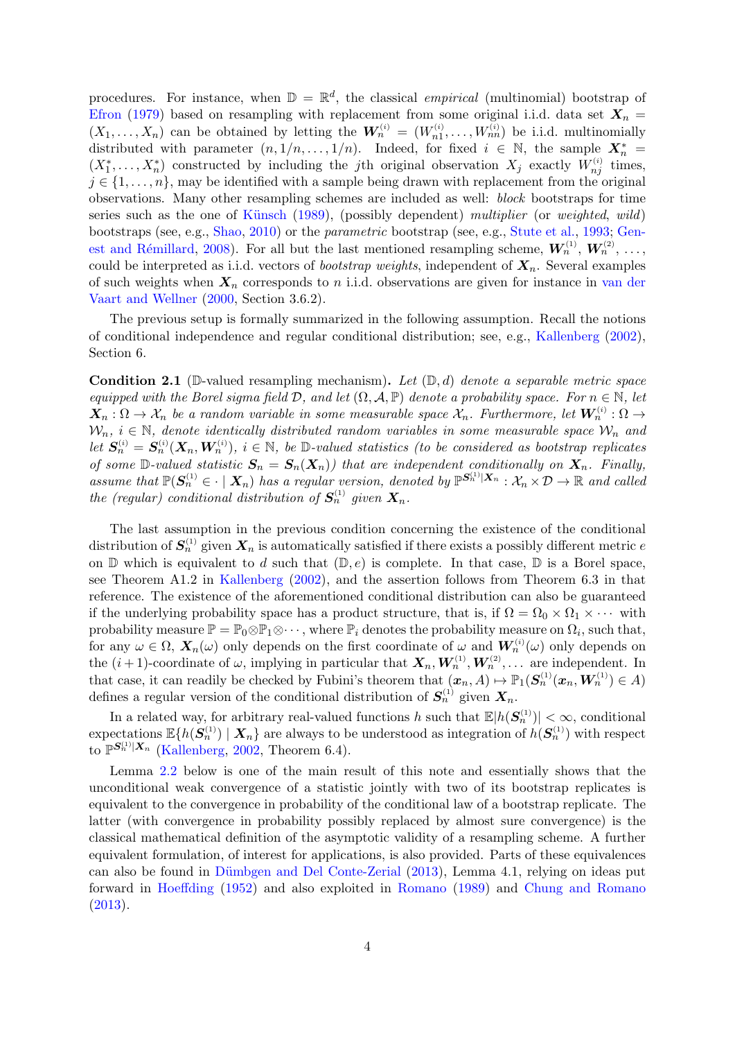procedures. For instance, when  $\mathbb{D} = \mathbb{R}^d$ , the classical *empirical* (multinomial) bootstrap of [Efron](#page-17-12) [\(1979\)](#page-17-12) based on resampling with replacement from some original i.i.d. data set  $X_n =$  $(X_1,\ldots,X_n)$  can be obtained by letting the  $W_n^{(i)} = (W_{n1}^{(i)},\ldots,W_{nn}^{(i)})$  be i.i.d. multinomially distributed with parameter  $(n, 1/n, ..., 1/n)$ . Indeed, for fixed  $i \in \mathbb{N}$ , the sample  $X_n^*$  $(X_1^*,\ldots,X_n^*)$  constructed by including the *j*th original observation  $X_j$  exactly  $W_{nj}^{(i)}$  times,  $j \in \{1, \ldots, n\}$ , may be identified with a sample being drawn with replacement from the original observations. Many other resampling schemes are included as well: block bootstraps for time series such as the one of Künsch  $(1989)$ , (possibly dependent) multiplier (or weighted, wild) bootstraps (see, e.g., [Shao,](#page-17-14) [2010\)](#page-17-14) or the parametric bootstrap (see, e.g., [Stute et al.,](#page-17-15) [1993;](#page-17-15) [Gen-](#page-17-16)est and Rémillard, [2008\)](#page-17-16). For all but the last mentioned resampling scheme,  $W_n^{(1)}$ ,  $W_n^{(2)}$ , ..., could be interpreted as i.i.d. vectors of *bootstrap weights*, independent of  $X_n$ . Several examples of such weights when  $X_n$  corresponds to n i.i.d. observations are given for instance in [van der](#page-17-5) [Vaart and Wellner](#page-17-5) [\(2000,](#page-17-5) Section 3.6.2).

The previous setup is formally summarized in the following assumption. Recall the notions of conditional independence and regular conditional distribution; see, e.g., [Kallenberg](#page-17-1) [\(2002\)](#page-17-1), Section 6.

<span id="page-3-0"></span>**Condition 2.1** (D-valued resampling mechanism). Let  $(D,d)$  denote a separable metric space equipped with the Borel sigma field  $\mathcal{D}$ , and let  $(\Omega, \mathcal{A}, \mathbb{P})$  denote a probability space. For  $n \in \mathbb{N}$ , let  $X_n:\Omega\to\mathcal{X}_n$  be a random variable in some measurable space  $\mathcal{X}_n$ . Furthermore, let  $\boldsymbol{W}_n^{(i)}:\Omega\to\mathcal{X}_n$  $W_n$ ,  $i \in \mathbb{N}$ , denote identically distributed random variables in some measurable space  $W_n$  and let  $S_n^{(i)} = S_n^{(i)}(X_n, W_n^{(i)})$ ,  $i \in \mathbb{N}$ , be  $\mathbb{D}\text{-valued statistics}$  (to be considered as bootstrap replicates of some  $\mathbb{D}\text{-valued statistic } S_n = S_n(X_n)$  that are independent conditionally on  $X_n$ . Finally, assume that  $\mathbb{P}(\mathbf{S}_n^{(1)} \in \cdot \mid \mathbf{X}_n)$  has a regular version, denoted by  $\mathbb{P}^{\mathbf{S}_n^{(1)} \mid \mathbf{X}_n} : \mathcal{X}_n \times \mathcal{D} \to \mathbb{R}$  and called the (regular) conditional distribution of  $S_n^{(1)}$  given  $X_n$ .

The last assumption in the previous condition concerning the existence of the conditional distribution of  $S_n^{(1)}$  given  $X_n$  is automatically satisfied if there exists a possibly different metric e on  $\mathbb D$  which is equivalent to d such that  $(\mathbb D, e)$  is complete. In that case,  $\mathbb D$  is a Borel space, see Theorem A1.2 in [Kallenberg](#page-17-1) [\(2002\)](#page-17-1), and the assertion follows from Theorem 6.3 in that reference. The existence of the aforementioned conditional distribution can also be guaranteed if the underlying probability space has a product structure, that is, if  $\Omega = \Omega_0 \times \Omega_1 \times \cdots$  with probability measure  $\mathbb{P} = \mathbb{P}_0 \otimes \mathbb{P}_1 \otimes \cdots$ , where  $\mathbb{P}_i$  denotes the probability measure on  $\Omega_i$ , such that, for any  $\omega \in \Omega$ ,  $\mathbf{X}_n(\omega)$  only depends on the first coordinate of  $\omega$  and  $\mathbf{W}_n^{(i)}(\omega)$  only depends on the  $(i+1)$ -coordinate of  $\omega$ , implying in particular that  $\mathbf{X}_n, \mathbf{W}_n^{(1)}, \mathbf{W}_n^{(2)}, \dots$  are independent. In that case, it can readily be checked by Fubini's theorem that  $(\boldsymbol{x}_n, A) \mapsto \mathbb{P}_1(\boldsymbol{S}_n^{(1)}(\boldsymbol{x}_n, \boldsymbol{W}_n^{(1)}) \in A)$ defines a regular version of the conditional distribution of  $S_n^{(1)}$  given  $X_n$ .

In a related way, for arbitrary real-valued functions h such that  $\mathbb{E}[h(\mathbf{S}_n^{(1)})] < \infty$ , conditional expectations  $\mathbb{E}\{h(\mathbf{S}_n^{(1)}) \mid \mathbf{X}_n\}$  are always to be understood as integration of  $h(\mathbf{S}_n^{(1)})$  with respect to  $\mathbb{P}^{\mathbf{S}_n^{(1)}|\mathbf{X}_n}$  [\(Kallenberg,](#page-17-1) [2002,](#page-17-1) Theorem 6.4).

Lemma [2.2](#page-4-0) below is one of the main result of this note and essentially shows that the unconditional weak convergence of a statistic jointly with two of its bootstrap replicates is equivalent to the convergence in probability of the conditional law of a bootstrap replicate. The latter (with convergence in probability possibly replaced by almost sure convergence) is the classical mathematical definition of the asymptotic validity of a resampling scheme. A further equivalent formulation, of interest for applications, is also provided. Parts of these equivalences can also be found in Dümbgen and Del Conte-Zerial [\(2013\)](#page-16-1), Lemma 4.1, relying on ideas put forward in [Hoeffding](#page-17-4) [\(1952\)](#page-17-4) and also exploited in [Romano](#page-17-17) [\(1989\)](#page-17-17) and [Chung and Romano](#page-16-5) [\(2013\)](#page-16-5).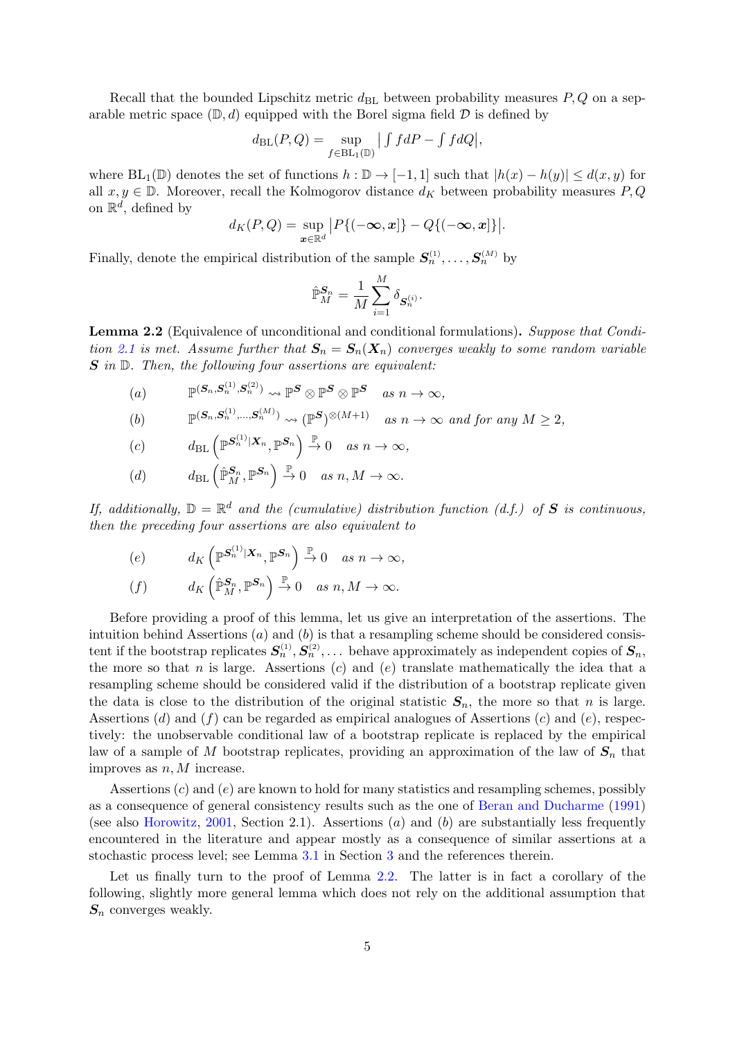Recall that the bounded Lipschitz metric  $d_{BL}$  between probability measures  $P, Q$  on a separable metric space  $(\mathbb{D}, d)$  equipped with the Borel sigma field  $\mathcal D$  is defined by

$$
d_{\text{BL}}(P,Q) = \sup_{f \in BL_1(\mathbb{D})} | \int f dP - \int f dQ |,
$$

where  $BL_1(\mathbb{D})$  denotes the set of functions  $h : \mathbb{D} \to [-1,1]$  such that  $|h(x) - h(y)| \leq d(x,y)$  for all  $x, y \in \mathbb{D}$ . Moreover, recall the Kolmogorov distance  $d_K$  between probability measures P, Q on  $\mathbb{R}^d$ , defined by

$$
d_K(P,Q)=\sup_{\boldsymbol{x}\in\mathbb{R}^d}\big|P\{(-\infty,\boldsymbol{x}]\}-Q\{(-\infty,\boldsymbol{x}]\}\big|.
$$

Finally, denote the empirical distribution of the sample  $S_n^{(1)}, \ldots, S_n^{(M)}$  by

$$
\hat{\mathbb{P}}_M^{\pmb{S}_n} = \frac{1}{M}\sum_{i=1}^M \delta_{\pmb{S}_n^{(i)}}.
$$

<span id="page-4-0"></span>Lemma 2.2 (Equivalence of unconditional and conditional formulations). Suppose that Condi-tion [2.1](#page-3-0) is met. Assume further that  $S_n = S_n(X_n)$  converges weakly to some random variable  $S$  in  $D$ . Then, the following four assertions are equivalent:

(a) 
$$
\mathbb{P}^{(S_n, S_n^{(1)}, S_n^{(2)})} \rightsquigarrow \mathbb{P}^S \otimes \mathbb{P}^S \otimes \mathbb{P}^S \text{ as } n \to \infty,
$$

(b) 
$$
\mathbb{P}^{(\mathbf{S}_n,\mathbf{S}_n^{(1)},\ldots,\mathbf{S}_n^{(M)})} \rightsquigarrow (\mathbb{P}^{\mathbf{S}})^{\otimes (M+1)} \text{ as } n \to \infty \text{ and for any } M \geq 2,
$$

$$
(c) \t d_{\text{BL}}\left(\mathbb{P}^{S_n^{(1)}|X_n}, \mathbb{P}^{S_n}\right) \stackrel{\mathbb{P}}{\to} 0 \quad as \; n \to \infty,
$$

(d) 
$$
d_{\text{BL}}\left(\hat{\mathbb{P}}_M^{\mathbf{S}_n}, \mathbb{P}^{\mathbf{S}_n}\right) \stackrel{\mathbb{P}}{\rightarrow} 0 \text{ as } n, M \rightarrow \infty.
$$

If, additionally,  $\mathbb{D} = \mathbb{R}^d$  and the (cumulative) distribution function (d.f.) of S is continuous, then the preceding four assertions are also equivalent to

$$
\begin{array}{ll}\n(e) & d_K\left(\mathbb{P}^{S_n^{(1)}|X_n}, \mathbb{P}^{S_n}\right) \xrightarrow{\mathbb{P}} 0 \quad \text{as } n \to \infty, \\
(f) & d_K\left(\mathbb{P}_M^{S_n}, \mathbb{P}^{S_n}\right) \xrightarrow{\mathbb{P}} 0 \quad \text{as } n, M \to \infty.\n\end{array}
$$

Before providing a proof of this lemma, let us give an interpretation of the assertions. The intuition behind Assertions  $(a)$  and  $(b)$  is that a resampling scheme should be considered consistent if the bootstrap replicates  $S_n^{(1)}, S_n^{(2)}, \ldots$  behave approximately as independent copies of  $S_n$ , the more so that n is large. Assertions  $(c)$  and  $(e)$  translate mathematically the idea that a resampling scheme should be considered valid if the distribution of a bootstrap replicate given the data is close to the distribution of the original statistic  $S_n$ , the more so that n is large. Assertions (d) and (f) can be regarded as empirical analogues of Assertions (c) and (e), respectively: the unobservable conditional law of a bootstrap replicate is replaced by the empirical law of a sample of M bootstrap replicates, providing an approximation of the law of  $S_n$  that improves as  $n, M$  increase.

Assertions  $(c)$  and  $(e)$  are known to hold for many statistics and resampling schemes, possibly as a consequence of general consistency results such as the one of [Beran and Ducharme](#page-16-6) [\(1991\)](#page-16-6) (see also [Horowitz,](#page-17-3) [2001,](#page-17-3) Section 2.1). Assertions (*a*) and (*b*) are substantially less frequently encountered in the literature and appear mostly as a consequence of similar assertions at a stochastic process level; see Lemma [3.1](#page-8-0) in Section [3](#page-7-0) and the references therein.

Let us finally turn to the proof of Lemma [2.2.](#page-4-0) The latter is in fact a corollary of the following, slightly more general lemma which does not rely on the additional assumption that  $S_n$  converges weakly.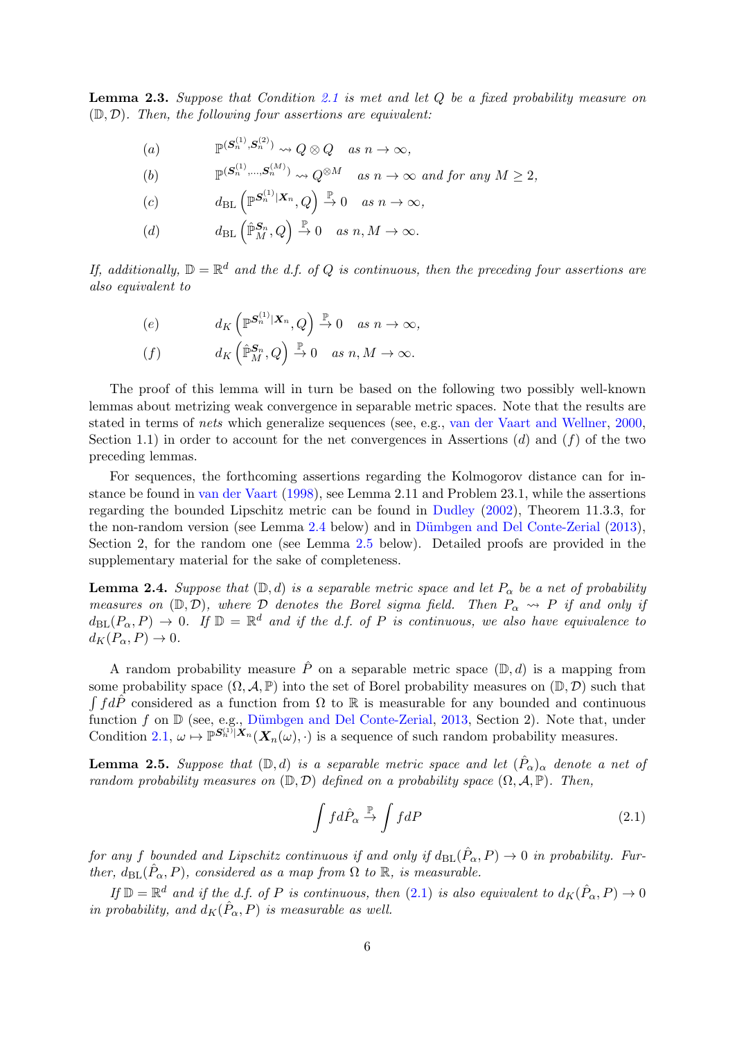<span id="page-5-3"></span>**Lemma 2.3.** Suppose that Condition [2.1](#page-3-0) is met and let Q be a fixed probability measure on  $(D, D)$ . Then, the following four assertions are equivalent:

(a) 
$$
\mathbb{P}^{(\mathbf{S}_n^{(1)}, \mathbf{S}_n^{(2)})} \rightsquigarrow Q \otimes Q \quad \text{as } n \to \infty,
$$

(b)  $\mathbb{P}^{(\mathbf{S}_n^{(1)}, ..., \mathbf{S}_n^{(M)})} \rightsquigarrow Q^{\otimes M}$  as  $n \to \infty$  and for any  $M \geq 2$ ,

$$
(c) \t d_{\text{BL}}\left(\mathbb{P}^{S_n^{(1)}|X_n},Q\right) \stackrel{\mathbb{P}}{\to} 0 \quad as \; n \to \infty,
$$

(d) 
$$
d_{\text{BL}}\left(\hat{\mathbb{P}}_M^{\mathcal{S}_n}, Q\right) \stackrel{\mathbb{P}}{\rightarrow} 0 \quad \text{as } n, M \rightarrow \infty.
$$

If, additionally,  $\mathbb{D} = \mathbb{R}^d$  and the d.f. of Q is continuous, then the preceding four assertions are also equivalent to

$$
\begin{array}{ll}\n(e) & d_K\left(\mathbb{P}^{\mathbf{S}_n^{(1)}|\mathbf{X}_n}, Q\right) \xrightarrow{\mathbb{P}} 0 \quad \text{as } n \to \infty, \\
(f) & d_K\left(\mathbb{P}_M^{\mathbf{S}_n}, Q\right) \xrightarrow{\mathbb{P}} 0 \quad \text{as } n, M \to \infty.\n\end{array}
$$

The proof of this lemma will in turn be based on the following two possibly well-known lemmas about metrizing weak convergence in separable metric spaces. Note that the results are stated in terms of nets which generalize sequences (see, e.g., [van der Vaart and Wellner,](#page-17-5) [2000,](#page-17-5) Section 1.1) in order to account for the net convergences in Assertions  $(d)$  and  $(f)$  of the two preceding lemmas.

For sequences, the forthcoming assertions regarding the Kolmogorov distance can for instance be found in [van der Vaart](#page-17-2) [\(1998\)](#page-17-2), see Lemma 2.11 and Problem 23.1, while the assertions regarding the bounded Lipschitz metric can be found in [Dudley](#page-16-7) [\(2002\)](#page-16-7), Theorem 11.3.3, for the non-random version (see Lemma [2.4](#page-5-0) below) and in Dümbgen and Del Conte-Zerial [\(2013\)](#page-16-1), Section 2, for the random one (see Lemma [2.5](#page-5-1) below). Detailed proofs are provided in the supplementary material for the sake of completeness.

<span id="page-5-0"></span>**Lemma 2.4.** Suppose that  $(\mathbb{D}, d)$  is a separable metric space and let  $P_{\alpha}$  be a net of probability measures on  $(\mathbb{D}, \mathcal{D})$ , where  $\mathcal D$  denotes the Borel sigma field. Then  $P_{\alpha} \leadsto P$  if and only if  $d_{\text{BL}}(P_\alpha, P) \to 0$ . If  $\mathbb{D} = \mathbb{R}^d$  and if the d.f. of P is continuous, we also have equivalence to  $d_K(P_\alpha, P) \to 0.$ 

A random probability measure  $\hat{P}$  on a separable metric space  $(\mathbb{D}, d)$  is a mapping from some probability space  $(\Omega, \mathcal{A}, \mathbb{P})$  into the set of Borel probability measures on  $(\mathbb{D}, \mathcal{D})$  such that  $\int f d\hat{P}$  considered as a function from  $\Omega$  to R is measurable for any bounded and continuous function f on  $\mathbb D$  (see, e.g., Dümbgen and Del Conte-Zerial, [2013,](#page-16-1) Section 2). Note that, under Condition [2.1,](#page-3-0)  $\omega \mapsto \mathbb{P}^{S_n^{(1)}|X_n}(\mathbf{X}_n(\omega), \cdot)$  is a sequence of such random probability measures.

<span id="page-5-1"></span>**Lemma 2.5.** Suppose that  $(D,d)$  is a separable metric space and let  $(\hat{P}_{\alpha})_{\alpha}$  denote a net of random probability measures on  $(\mathbb{D}, \mathcal{D})$  defined on a probability space  $(\Omega, \mathcal{A}, \mathbb{P})$ . Then,

<span id="page-5-2"></span>
$$
\int f d\hat{P}_{\alpha} \stackrel{\mathbb{P}}{\rightarrow} \int f dP \tag{2.1}
$$

for any f bounded and Lipschitz continuous if and only if  $d_{BL}(\hat{P}_{\alpha}, P) \to 0$  in probability. Further,  $d_{BL}(\hat{P}_{\alpha}, P)$ , considered as a map from  $\Omega$  to  $\mathbb{R}$ , is measurable.

If  $\mathbb{D} = \mathbb{R}^d$  and if the d.f. of P is continuous, then [\(2.1\)](#page-5-2) is also equivalent to  $d_K(\hat{P}_\alpha, P) \to 0$ in probability, and  $d_K(\hat{P}_{\alpha}, P)$  is measurable as well.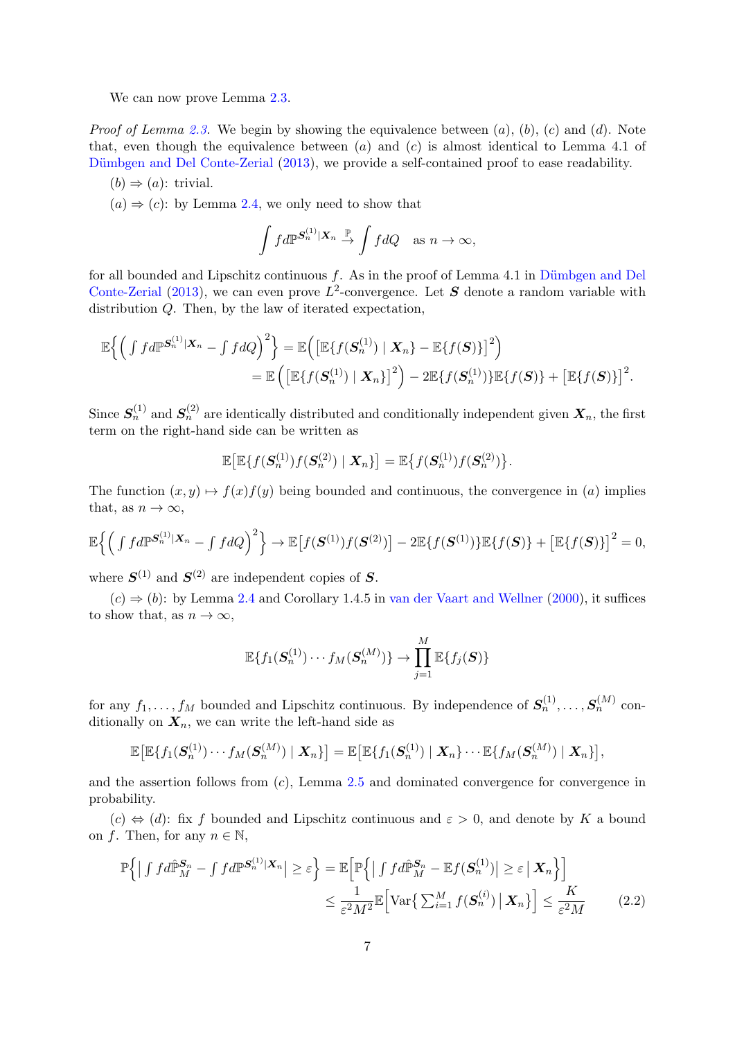We can now prove Lemma  $2.3$ .

*Proof of Lemma [2.3.](#page-5-3)* We begin by showing the equivalence between  $(a)$ ,  $(b)$ ,  $(c)$  and  $(d)$ . Note that, even though the equivalence between  $(a)$  and  $(c)$  is almost identical to Lemma 4.1 of Dümbgen and Del Conte-Zerial [\(2013\)](#page-16-1), we provide a self-contained proof to ease readability.

 $(b) \Rightarrow (a)$ : trivial.

 $(a) \Rightarrow (c)$ : by Lemma [2.4,](#page-5-0) we only need to show that

$$
\int f d\mathbb{P}^{\mathbf{S}_n^{(1)}|\mathbf{X}_n} \xrightarrow{\mathbb{P}} \int f dQ \quad \text{as } n \to \infty,
$$

for all bounded and Lipschitz continuous  $f$ . As in the proof of Lemma 4.1 in Dümbgen and Del [Conte-Zerial](#page-16-1) [\(2013\)](#page-16-1), we can even prove  $L^2$ -convergence. Let S denote a random variable with distribution Q. Then, by the law of iterated expectation,

$$
\mathbb{E}\Big\{\Big(\int f d\mathbb{P}^{\mathbf{S}_n^{(1)}|\mathbf{X}_n}-\int f dQ\Big)^2\Big\}=\mathbb{E}\Big(\big[\mathbb{E}\{f(\mathbf{S}_n^{(1)})\mid \mathbf{X}_n\}-\mathbb{E}\{f(\mathbf{S})\}\big]^2\Big)\\=\mathbb{E}\Big(\big[\mathbb{E}\{f(\mathbf{S}_n^{(1)})\mid \mathbf{X}_n\}\big]^2\Big)-2\mathbb{E}\{f(\mathbf{S}_n^{(1)})\}\mathbb{E}\{f(\mathbf{S})\}+\big[\mathbb{E}\{f(\mathbf{S})\}\big]^2.
$$

Since  $S_n^{(1)}$  and  $S_n^{(2)}$  are identically distributed and conditionally independent given  $X_n$ , the first term on the right-hand side can be written as

$$
\mathbb{E}\big[\mathbb{E}\big\{f(\boldsymbol{S}_n^{(1)})f(\boldsymbol{S}_n^{(2)})\mid \boldsymbol{X}_n\big\}\big]=\mathbb{E}\big\{f(\boldsymbol{S}_n^{(1)})f(\boldsymbol{S}_n^{(2)})\big\}.
$$

The function  $(x, y) \mapsto f(x)f(y)$  being bounded and continuous, the convergence in (a) implies that, as  $n \to \infty$ ,

$$
\mathbb{E}\Big\{\Big(\int f d\mathbb{P}^{\mathbf{S}_n^{(1)}|X_n}-\int f dQ\Big)^2\Big\}\rightarrow \mathbb{E}\big[f(\mathbf{S}^{(1)})f(\mathbf{S}^{(2)})\big]-2\mathbb{E}\{f(\mathbf{S}^{(1)})\}\mathbb{E}\{f(\mathbf{S})\}+\big[\mathbb{E}\{f(\mathbf{S})\}\big]^2=0,
$$

where  $S^{(1)}$  and  $S^{(2)}$  are independent copies of S.

 $(c) \Rightarrow (b)$ : by Lemma [2.4](#page-5-0) and Corollary 1.4.5 in [van der Vaart and Wellner](#page-17-5) [\(2000\)](#page-17-5), it suffices to show that, as  $n \to \infty$ ,

<span id="page-6-0"></span>
$$
\mathbb{E}\{f_1(\boldsymbol{S}_n^{(1)})\cdots f_M(\boldsymbol{S}_n^{(M)})\}\rightarrow \prod_{j=1}^M\mathbb{E}\{f_j(\boldsymbol{S})\}
$$

for any  $f_1, \ldots, f_M$  bounded and Lipschitz continuous. By independence of  $S_n^{(1)}, \ldots, S_n^{(M)}$  conditionally on  $X_n$ , we can write the left-hand side as

$$
\mathbb{E}\big[\mathbb{E}\{f_1(\boldsymbol{S}_n^{(1)})\cdots f_M(\boldsymbol{S}_n^{(M)})\mid \boldsymbol{X}_n\}\big]=\mathbb{E}\big[\mathbb{E}\{f_1(\boldsymbol{S}_n^{(1)})\mid \boldsymbol{X}_n\}\cdots\mathbb{E}\{f_M(\boldsymbol{S}_n^{(M)})\mid \boldsymbol{X}_n\}\big],
$$

and the assertion follows from  $(c)$ , Lemma [2.5](#page-5-1) and dominated convergence for convergence in probability.

 $(c) \Leftrightarrow (d)$ : fix f bounded and Lipschitz continuous and  $\varepsilon > 0$ , and denote by K a bound on f. Then, for any  $n \in \mathbb{N}$ ,

$$
\mathbb{P}\left\{ \left| \int f d\hat{\mathbb{P}}_M^{S_n} - \int f d\mathbb{P}^{S_n^{(1)}|X_n} \right| \ge \varepsilon \right\} = \mathbb{E}\left[\mathbb{P}\left\{ \left| \int f d\hat{\mathbb{P}}_M^{S_n} - \mathbb{E}f(S_n^{(1)}) \right| \ge \varepsilon \, \big| \, X_n \right\} \right]
$$

$$
\le \frac{1}{\varepsilon^2 M^2} \mathbb{E}\left[\text{Var}\left\{ \sum_{i=1}^M f(S_n^{(i)}) \, \big| \, X_n \right\} \right] \le \frac{K}{\varepsilon^2 M} \tag{2.2}
$$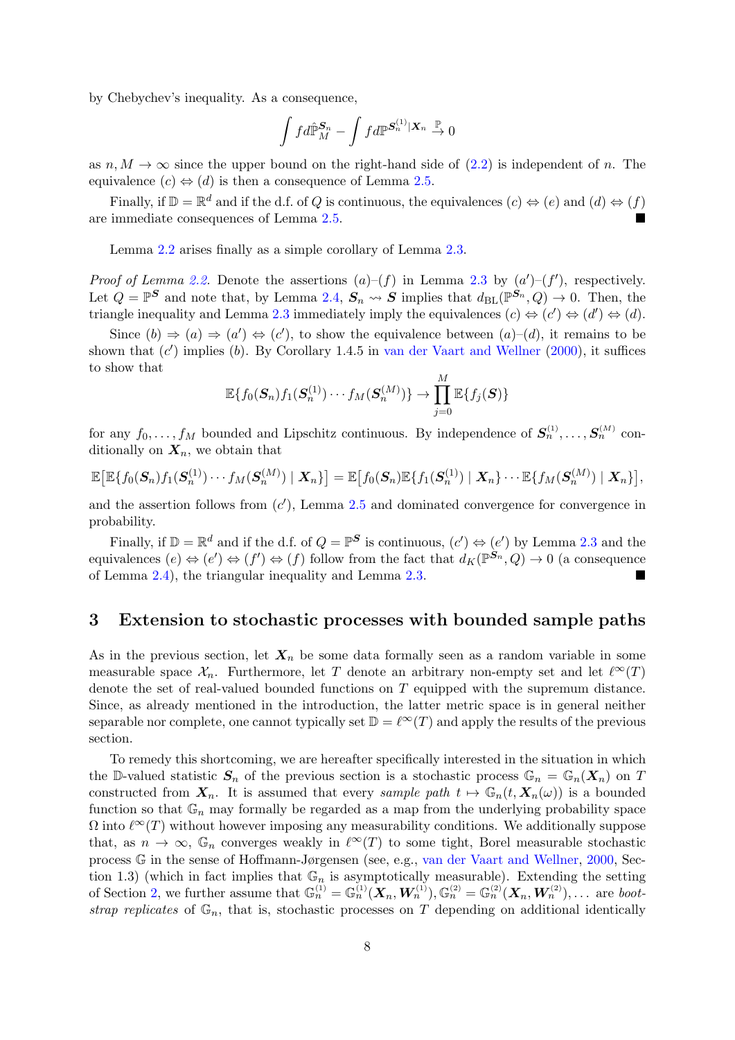by Chebychev's inequality. As a consequence,

$$
\int f d\hat{\mathbb{P}}_M^{\mathbf{S}_n} - \int f d\mathbb{P}^{\mathbf{S}_n^{(1)} \mid \mathbf{X}_n} \stackrel{\mathbb{P}}{\rightarrow} 0
$$

as  $n, M \to \infty$  since the upper bound on the right-hand side of [\(2.2\)](#page-6-0) is independent of n. The equivalence  $(c) \Leftrightarrow (d)$  is then a consequence of Lemma [2.5.](#page-5-1)

Finally, if  $\mathbb{D} = \mathbb{R}^d$  and if the d.f. of Q is continuous, the equivalences  $(c) \Leftrightarrow (e)$  and  $(d) \Leftrightarrow (f)$ are immediate consequences of Lemma [2.5.](#page-5-1)

Lemma [2.2](#page-4-0) arises finally as a simple corollary of Lemma [2.3.](#page-5-3)

*Proof of Lemma [2.2.](#page-4-0)* Denote the assertions  $(a)-(f)$  in Lemma [2.3](#page-5-3) by  $(a')-(f')$ , respectively. Let  $Q = \mathbb{P}^S$  and note that, by Lemma [2.4,](#page-5-0)  $S_n \leadsto S$  implies that  $d_{\text{BL}}(\mathbb{P}^{S_n}, Q) \to 0$ . Then, the triangle inequality and Lemma [2.3](#page-5-3) immediately imply the equivalences  $(c) \Leftrightarrow (c') \Leftrightarrow (d') \Leftrightarrow (d)$ .

Since  $(b) \Rightarrow (a) \Rightarrow (a') \Leftrightarrow (c')$ , to show the equivalence between  $(a)-(d)$ , it remains to be shown that  $(c')$  implies (b). By Corollary 1.4.5 in [van der Vaart and Wellner](#page-17-5) [\(2000\)](#page-17-5), it suffices to show that

$$
\mathbb{E}\{f_0(\boldsymbol{S}_n)f_1(\boldsymbol{S}_n^{(1)})\cdots f_M(\boldsymbol{S}_n^{(M)})\}\rightarrow \prod_{j=0}^M\mathbb{E}\{f_j(\boldsymbol{S})\}
$$

for any  $f_0, \ldots, f_M$  bounded and Lipschitz continuous. By independence of  $S_n^{(1)}, \ldots, S_n^{(M)}$  conditionally on  $X_n$ , we obtain that

$$
\mathbb{E}\big[\mathbb{E}\{f_0(\mathbf{S}_n)f_1(\mathbf{S}_n^{(1)})\cdots f_M(\mathbf{S}_n^{(M)})\mid \mathbf{X}_n\}\big]=\mathbb{E}\big[f_0(\mathbf{S}_n)\mathbb{E}\{f_1(\mathbf{S}_n^{(1)})\mid \mathbf{X}_n\}\cdots\mathbb{E}\{f_M(\mathbf{S}_n^{(M)})\mid \mathbf{X}_n\}\big],
$$

and the assertion follows from  $(c')$ , Lemma [2.5](#page-5-1) and dominated convergence for convergence in probability.

Finally, if  $\mathbb{D} = \mathbb{R}^d$  and if the d.f. of  $Q = \mathbb{P}^S$  is continuous,  $(c') \Leftrightarrow (e')$  by Lemma [2.3](#page-5-3) and the equivalences  $(e) \Leftrightarrow (e') \Leftrightarrow (f') \Leftrightarrow (f)$  follow from the fact that  $d_K(\mathbb{P}^{S_n}, Q) \to 0$  (a consequence of Lemma [2.4\)](#page-5-0), the triangular inequality and Lemma [2.3.](#page-5-3)

#### <span id="page-7-0"></span>3 Extension to stochastic processes with bounded sample paths

As in the previous section, let  $X_n$  be some data formally seen as a random variable in some measurable space  $\mathcal{X}_n$ . Furthermore, let T denote an arbitrary non-empty set and let  $\ell^{\infty}(T)$ denote the set of real-valued bounded functions on T equipped with the supremum distance. Since, as already mentioned in the introduction, the latter metric space is in general neither separable nor complete, one cannot typically set  $\mathbb{D} = \ell^{\infty}(T)$  and apply the results of the previous section.

To remedy this shortcoming, we are hereafter specifically interested in the situation in which the D-valued statistic  $S_n$  of the previous section is a stochastic process  $\mathbb{G}_n = \mathbb{G}_n(X_n)$  on T constructed from  $X_n$ . It is assumed that every sample path  $t \mapsto \mathbb{G}_n(t, X_n(\omega))$  is a bounded function so that  $\mathbb{G}_n$  may formally be regarded as a map from the underlying probability space  $\Omega$  into  $\ell^{\infty}(T)$  without however imposing any measurability conditions. We additionally suppose that, as  $n \to \infty$ ,  $\mathbb{G}_n$  converges weakly in  $\ell^{\infty}(T)$  to some tight, Borel measurable stochastic process G in the sense of Hoffmann-Jørgensen (see, e.g., [van der Vaart and Wellner,](#page-17-5) [2000,](#page-17-5) Section 1.3) (which in fact implies that  $\mathbb{G}_n$  is asymptotically measurable). Extending the setting of Section [2,](#page-2-0) we further assume that  $\mathbb{G}_n^{(1)} = \mathbb{G}_n^{(1)}(\boldsymbol{X}_n, \boldsymbol{W}_n^{(1)}), \mathbb{G}_n^{(2)} = \mathbb{G}_n^{(2)}(\boldsymbol{X}_n, \boldsymbol{W}_n^{(2)}), \dots$  are bootstrap replicates of  $\mathbb{G}_n$ , that is, stochastic processes on T depending on additional identically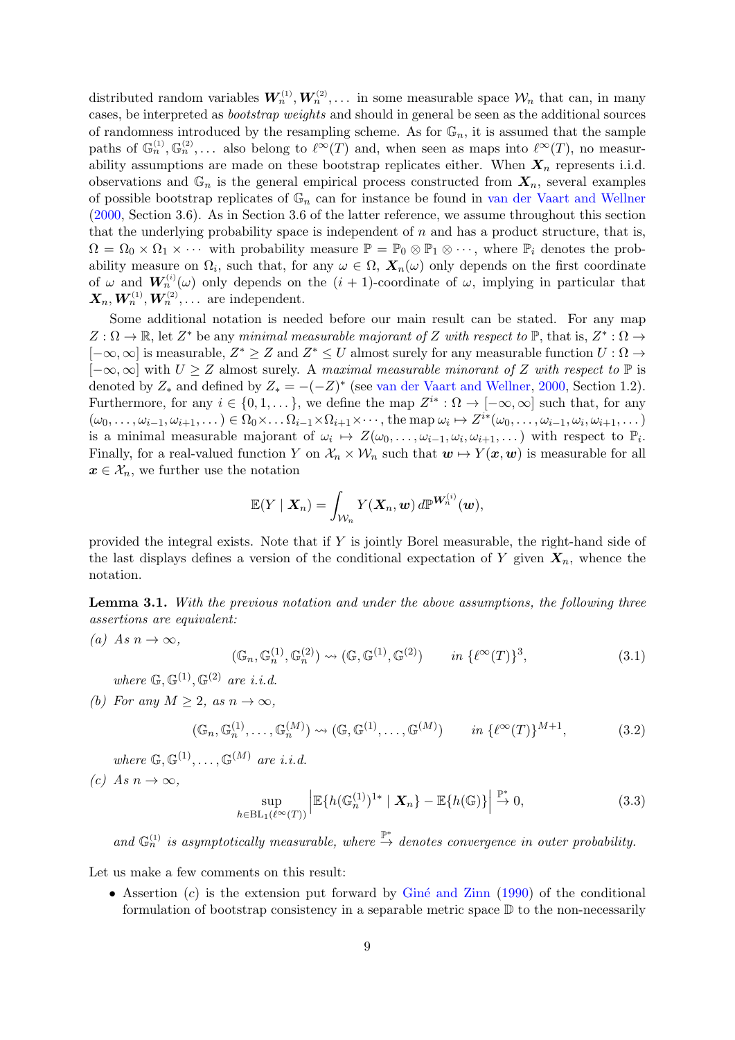distributed random variables  $W_n^{(1)}, W_n^{(2)}, \ldots$  in some measurable space  $\mathcal{W}_n$  that can, in many cases, be interpreted as bootstrap weights and should in general be seen as the additional sources of randomness introduced by the resampling scheme. As for  $\mathbb{G}_n$ , it is assumed that the sample paths of  $\mathbb{G}_n^{(1)}, \mathbb{G}_n^{(2)}, \ldots$  also belong to  $\ell^{\infty}(T)$  and, when seen as maps into  $\ell^{\infty}(T)$ , no measurability assumptions are made on these bootstrap replicates either. When  $X_n$  represents i.i.d. observations and  $\mathbb{G}_n$  is the general empirical process constructed from  $X_n$ , several examples of possible bootstrap replicates of  $\mathbb{G}_n$  can for instance be found in [van der Vaart and Wellner](#page-17-5) [\(2000,](#page-17-5) Section 3.6). As in Section 3.6 of the latter reference, we assume throughout this section that the underlying probability space is independent of  $n$  and has a product structure, that is,  $\Omega = \Omega_0 \times \Omega_1 \times \cdots$  with probability measure  $\mathbb{P} = \mathbb{P}_0 \otimes \mathbb{P}_1 \otimes \cdots$ , where  $\mathbb{P}_i$  denotes the probability measure on  $\Omega_i$ , such that, for any  $\omega \in \Omega$ ,  $\mathbf{X}_n(\omega)$  only depends on the first coordinate of  $\omega$  and  $W_n^{(i)}(\omega)$  only depends on the  $(i + 1)$ -coordinate of  $\omega$ , implying in particular that  $\boldsymbol{X}_n, \boldsymbol{W}_n^{(1)}, \boldsymbol{W}_n^{(2)}, \dots$  are independent.

Some additional notation is needed before our main result can be stated. For any map  $Z:\Omega\to\mathbb{R}$ , let  $Z^*$  be any minimal measurable majorant of Z with respect to  $\mathbb{P}$ , that is,  $Z^*:\Omega\to\mathbb{R}$  $[-\infty, \infty]$  is measurable,  $Z^* \geq Z$  and  $Z^* \leq U$  almost surely for any measurable function  $U: \Omega \to \mathbb{R}$  $[-\infty, \infty]$  with  $U \geq Z$  almost surely. A maximal measurable minorant of Z with respect to  $\mathbb P$  is denoted by  $Z_*$  and defined by  $Z_* = -(-Z)^*$  (see [van der Vaart and Wellner,](#page-17-5) [2000,](#page-17-5) Section 1.2). Furthermore, for any  $i \in \{0, 1, \ldots\}$ , we define the map  $Z^{i*} : \Omega \to [-\infty, \infty]$  such that, for any  $(\omega_0,\ldots,\omega_{i-1},\omega_{i+1},\ldots) \in \Omega_0 \times \ldots \Omega_{i-1} \times \Omega_{i+1} \times \cdots$ , the map  $\omega_i \mapsto Z^{i*}(\omega_0,\ldots,\omega_{i-1},\omega_i,\omega_{i+1},\ldots)$ is a minimal measurable majorant of  $\omega_i \mapsto Z(\omega_0, \ldots, \omega_{i-1}, \omega_i, \omega_{i+1}, \ldots)$  with respect to  $\mathbb{P}_i$ . Finally, for a real-valued function Y on  $\mathcal{X}_n \times \mathcal{W}_n$  such that  $\mathbf{w} \mapsto Y(\mathbf{x}, \mathbf{w})$  is measurable for all  $x \in \mathcal{X}_n$ , we further use the notation

$$
\mathbb{E}(Y \mid \boldsymbol{X}_n) = \int_{\mathcal{W}_n} Y(\boldsymbol{X}_n, \boldsymbol{w}) \, d\mathbb{P}^{\boldsymbol{W}_n^{(i)}}(\boldsymbol{w}),
$$

provided the integral exists. Note that if Y is jointly Borel measurable, the right-hand side of the last displays defines a version of the conditional expectation of Y given  $X_n$ , whence the notation.

<span id="page-8-0"></span>Lemma 3.1. With the previous notation and under the above assumptions, the following three assertions are equivalent:

(a) As 
$$
n \to \infty
$$
,

<span id="page-8-2"></span>
$$
(\mathbb{G}_n, \mathbb{G}_n^{(1)}, \mathbb{G}_n^{(2)}) \rightsquigarrow (\mathbb{G}, \mathbb{G}^{(1)}, \mathbb{G}^{(2)}) \qquad in \ \{\ell^{\infty}(T)\}^3,
$$
\n(3.1)

where  $\mathbb{G}, \mathbb{G}^{(1)}, \mathbb{G}^{(2)}$  are *i.i.d.* 

(b) For any  $M \geq 2$ , as  $n \to \infty$ ,

<span id="page-8-3"></span>
$$
(\mathbb{G}_n, \mathbb{G}_n^{(1)}, \dots, \mathbb{G}_n^{(M)}) \rightsquigarrow (\mathbb{G}, \mathbb{G}^{(1)}, \dots, \mathbb{G}^{(M)}) \qquad in \ \{\ell^{\infty}(T)\}^{M+1},
$$
 (3.2)

where  $\mathbb{G}, \mathbb{G}^{(1)}, \ldots, \mathbb{G}^{(M)}$  are *i.i.d.* 

(c) As  $n \to \infty$ .

<span id="page-8-1"></span>
$$
\sup_{h \in BL_1(\ell^{\infty}(T))} \left| \mathbb{E}\{h(\mathbb{G}_n^{(1)})^{1*} \mid \mathbf{X}_n\} - \mathbb{E}\{h(\mathbb{G})\} \right| \stackrel{\mathbb{P}^*}{\to} 0,
$$
\n(3.3)

and  $\mathbb{G}_n^{(1)}$  is asymptotically measurable, where  $\stackrel{\mathbb{P}^*}{\to}$  denotes convergence in outer probability.

Let us make a few comments on this result:

• Assertion  $(c)$  is the extension put forward by Giné and Zinn [\(1990\)](#page-17-6) of the conditional formulation of bootstrap consistency in a separable metric space  $\mathbb D$  to the non-necessarily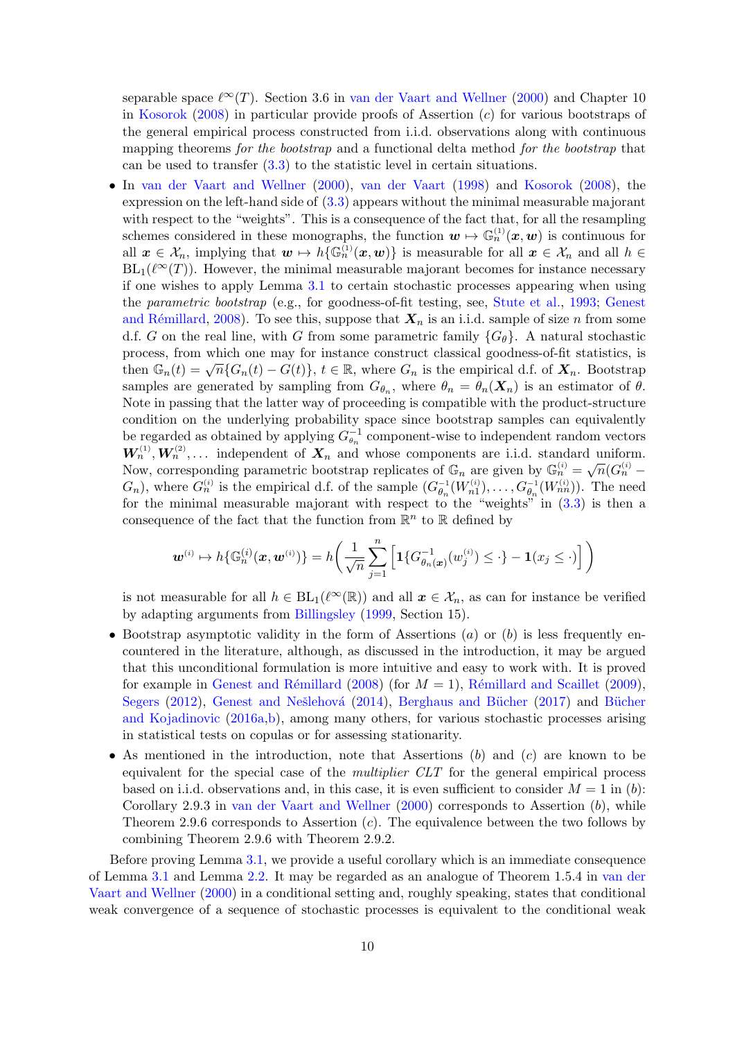separable space  $\ell^{\infty}(T)$ . Section 3.6 in [van der Vaart and Wellner](#page-17-5) [\(2000\)](#page-17-5) and Chapter 10 in [Kosorok](#page-17-10) [\(2008\)](#page-17-10) in particular provide proofs of Assertion (c) for various bootstraps of the general empirical process constructed from i.i.d. observations along with continuous mapping theorems for the bootstrap and a functional delta method for the bootstrap that can be used to transfer  $(3.3)$  to the statistic level in certain situations.

• In [van der Vaart and Wellner](#page-17-5) [\(2000\)](#page-17-5), [van der Vaart](#page-17-2) [\(1998\)](#page-17-2) and [Kosorok](#page-17-10) [\(2008\)](#page-17-10), the expression on the left-hand side of [\(3.3\)](#page-8-1) appears without the minimal measurable majorant with respect to the "weights". This is a consequence of the fact that, for all the resampling schemes considered in these monographs, the function  $w \mapsto \mathbb{G}_n^{(1)}(x, w)$  is continuous for all  $x \in \mathcal{X}_n$ , implying that  $w \mapsto h\{\mathbb{G}_n^{(1)}(x, w)\}\$ is measurable for all  $x \in \mathcal{X}_n$  and all  $h \in$  $BL_1(\ell^{\infty}(T))$ . However, the minimal measurable majorant becomes for instance necessary if one wishes to apply Lemma [3.1](#page-8-0) to certain stochastic processes appearing when using the parametric bootstrap (e.g., for goodness-of-fit testing, see, [Stute et al.,](#page-17-15) [1993;](#page-17-15) [Genest](#page-17-16) and Rémillard, [2008\)](#page-17-16). To see this, suppose that  $X_n$  is an i.i.d. sample of size n from some d.f. G on the real line, with G from some parametric family  ${G_{\theta}}$ . A natural stochastic process, from which one may for instance construct classical goodness-of-fit statistics, is then  $\mathbb{G}_n(t) = \sqrt{n} \{ G_n(t) - G(t) \}, t \in \mathbb{R}$ , where  $G_n$  is the empirical d.f. of  $\mathbf{X}_n$ . Bootstrap samples are generated by sampling from  $G_{\theta_n}$ , where  $\theta_n = \theta_n(\mathbf{X}_n)$  is an estimator of  $\theta$ . Note in passing that the latter way of proceeding is compatible with the product-structure condition on the underlying probability space since bootstrap samples can equivalently be regarded as obtained by applying  $G_{\theta_n}^{-1}$  component-wise to independent random vectors  $W_n^{(1)}, W_n^{(2)}, \ldots$  independent of  $X_n$  and whose components are i.i.d. standard uniform. Now, corresponding parametric bootstrap replicates of  $\mathbb{G}_n$  are given by  $\mathbb{G}_n^{(i)} = \sqrt{n} (G_n^{(i)} (G_n)$ , where  $G_n^{(i)}$  is the empirical d.f. of the sample  $(G_{\theta_n}^{-1}(W_{n1}^{(i)}), \ldots, G_{\theta_n}^{-1}(W_{nn}^{(i)}))$ . The need for the minimal measurable majorant with respect to the "weights" in [\(3.3\)](#page-8-1) is then a consequence of the fact that the function from  $\mathbb{R}^n$  to  $\mathbb R$  defined by

$$
\mathbf{w}^{(i)} \mapsto h\{\mathbb{G}_n^{(i)}(\mathbf{x}, \mathbf{w}^{(i)})\} = h\bigg(\frac{1}{\sqrt{n}} \sum_{j=1}^n \Big[{\bf 1}\{G_{\theta_n(\mathbf{x})}^{-1}(w_j^{(i)}) \leq \cdot\} - {\bf 1}(x_j \leq \cdot)\Big]\bigg)
$$

is not measurable for all  $h \in BL_1(\ell^{\infty}(\mathbb{R}))$  and all  $x \in \mathcal{X}_n$ , as can for instance be verified by adapting arguments from [Billingsley](#page-16-8) [\(1999,](#page-16-8) Section 15).

- Bootstrap asymptotic validity in the form of Assertions  $(a)$  or  $(b)$  is less frequently encountered in the literature, although, as discussed in the introduction, it may be argued that this unconditional formulation is more intuitive and easy to work with. It is proved for example in Genest and Rémillard [\(2008\)](#page-17-16) (for  $M = 1$ ), Rémillard and Scaillet [\(2009\)](#page-17-8), [Segers](#page-17-9) [\(2012\)](#page-17-9), Genest and Nešlehová [\(2014\)](#page-17-18), Berghaus and Bücher [\(2017\)](#page-16-9) and Bücher [and Kojadinovic](#page-16-3) [\(2016a](#page-16-3)[,b\)](#page-16-10), among many others, for various stochastic processes arising in statistical tests on copulas or for assessing stationarity.
- As mentioned in the introduction, note that Assertions  $(b)$  and  $(c)$  are known to be equivalent for the special case of the *multiplier CLT* for the general empirical process based on i.i.d. observations and, in this case, it is even sufficient to consider  $M = 1$  in (b): Corollary 2.9.3 in [van der Vaart and Wellner](#page-17-5)  $(2000)$  corresponds to Assertion  $(b)$ , while Theorem 2.9.6 corresponds to Assertion  $(c)$ . The equivalence between the two follows by combining Theorem 2.9.6 with Theorem 2.9.2.

Before proving Lemma [3.1,](#page-8-0) we provide a useful corollary which is an immediate consequence of Lemma [3.1](#page-8-0) and Lemma [2.2.](#page-4-0) It may be regarded as an analogue of Theorem 1.5.4 in [van der](#page-17-5) [Vaart and Wellner](#page-17-5) [\(2000\)](#page-17-5) in a conditional setting and, roughly speaking, states that conditional weak convergence of a sequence of stochastic processes is equivalent to the conditional weak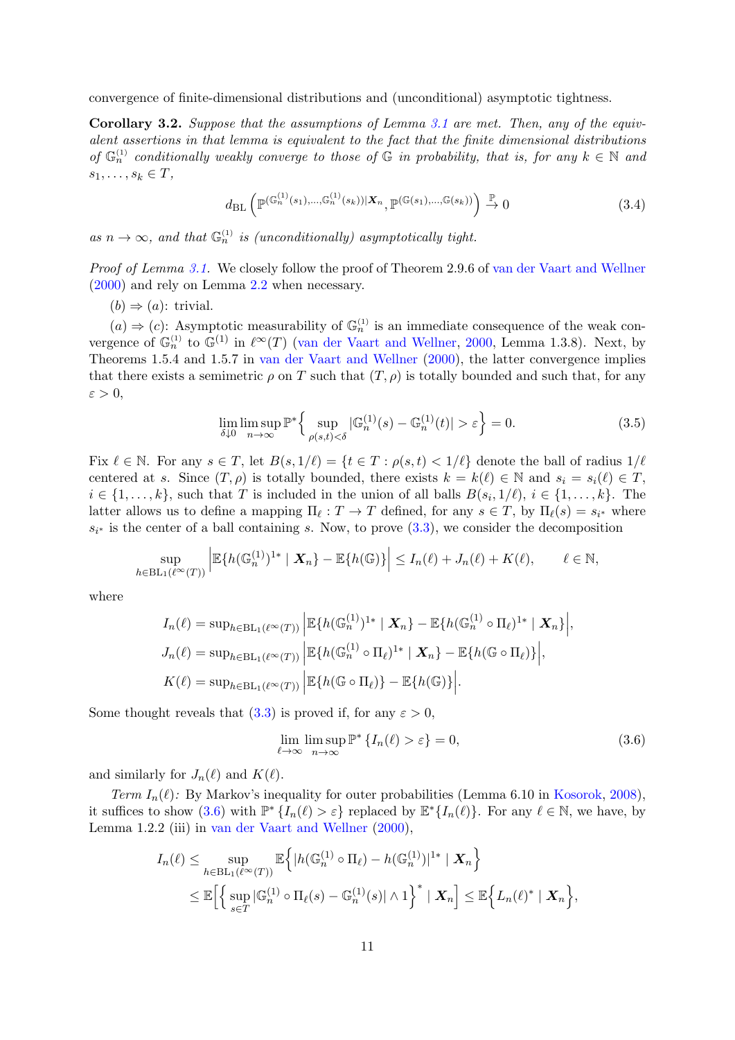convergence of finite-dimensional distributions and (unconditional) asymptotic tightness.

Corollary 3.2. Suppose that the assumptions of Lemma [3.1](#page-8-0) are met. Then, any of the equivalent assertions in that lemma is equivalent to the fact that the finite dimensional distributions of  $\mathbb{G}_n^{(1)}$  conditionally weakly converge to those of  $\mathbb{G}$  in probability, that is, for any  $k \in \mathbb{N}$  and  $s_1, \ldots, s_k \in T$ ,

<span id="page-10-2"></span>
$$
d_{\mathrm{BL}}\left(\mathbb{P}^{(\mathbb{G}_n^{(1)}(s_1),\ldots,\mathbb{G}_n^{(1)}(s_k))|\mathbf{X}_n},\mathbb{P}^{(\mathbb{G}(s_1),\ldots,\mathbb{G}(s_k))}\right) \xrightarrow{\mathbb{P}} 0
$$
\n(3.4)

as  $n \to \infty$ , and that  $\mathbb{G}_n^{(1)}$  is (unconditionally) asymptotically tight.

Proof of Lemma [3.1.](#page-8-0) We closely follow the proof of Theorem 2.9.6 of [van der Vaart and Wellner](#page-17-5) [\(2000\)](#page-17-5) and rely on Lemma [2.2](#page-4-0) when necessary.

 $(b) \Rightarrow (a)$ : trivial.

 $(a) \Rightarrow (c)$ : Asymptotic measurability of  $\mathbb{G}_n^{(1)}$  is an immediate consequence of the weak convergence of  $\mathbb{G}_n^{(1)}$  to  $\mathbb{G}^{(1)}$  in  $\ell^{\infty}(T)$  [\(van der Vaart and Wellner,](#page-17-5) [2000,](#page-17-5) Lemma 1.3.8). Next, by Theorems 1.5.4 and 1.5.7 in [van der Vaart and Wellner](#page-17-5) [\(2000\)](#page-17-5), the latter convergence implies that there exists a semimetric  $\rho$  on T such that  $(T, \rho)$  is totally bounded and such that, for any  $\varepsilon > 0$ ,

<span id="page-10-1"></span>
$$
\lim_{\delta \downarrow 0} \limsup_{n \to \infty} \mathbb{P}^* \Big\{ \sup_{\rho(s,t) < \delta} |\mathbb{G}_n^{(1)}(s) - \mathbb{G}_n^{(1)}(t)| > \varepsilon \Big\} = 0. \tag{3.5}
$$

Fix  $\ell \in \mathbb{N}$ . For any  $s \in T$ , let  $B(s, 1/\ell) = \{t \in T : \rho(s, t) < 1/\ell\}$  denote the ball of radius  $1/\ell$ centered at s. Since  $(T, \rho)$  is totally bounded, there exists  $k = k(\ell) \in \mathbb{N}$  and  $s_i = s_i(\ell) \in T$ ,  $i \in \{1, \ldots, k\}$ , such that T is included in the union of all balls  $B(s_i, 1/\ell), i \in \{1, \ldots, k\}$ . The latter allows us to define a mapping  $\Pi_{\ell}: T \to T$  defined, for any  $s \in T$ , by  $\Pi_{\ell}(s) = s_{i^*}$  where  $s_{i^*}$  is the center of a ball containing s. Now, to prove  $(3.3)$ , we consider the decomposition

$$
\sup_{h\in\mathrm{BL}_1(\ell^{\infty}(T))}\left|\mathbb{E}\{h(\mathbb{G}_n^{(1)})^{1*} \mid \mathbf{X}_n\}-\mathbb{E}\{h(\mathbb{G})\}\right|\leq I_n(\ell)+J_n(\ell)+K(\ell), \qquad \ell\in\mathbb{N},
$$

where

$$
I_n(\ell) = \sup_{h \in BL_1(\ell^{\infty}(T))} \left| \mathbb{E}\{h(\mathbb{G}_n^{(1)})^{1*} \mid \mathbf{X}_n\} - \mathbb{E}\{h(\mathbb{G}_n^{(1)} \circ \Pi_{\ell})^{1*} \mid \mathbf{X}_n\} \right|,
$$
  
\n
$$
J_n(\ell) = \sup_{h \in BL_1(\ell^{\infty}(T))} \left| \mathbb{E}\{h(\mathbb{G}_n^{(1)} \circ \Pi_{\ell})^{1*} \mid \mathbf{X}_n\} - \mathbb{E}\{h(\mathbb{G} \circ \Pi_{\ell})\} \right|,
$$
  
\n
$$
K(\ell) = \sup_{h \in BL_1(\ell^{\infty}(T))} \left| \mathbb{E}\{h(\mathbb{G} \circ \Pi_{\ell})\} - \mathbb{E}\{h(\mathbb{G})\} \right|.
$$

Some thought reveals that  $(3.3)$  is proved if, for any  $\varepsilon > 0$ ,

<span id="page-10-0"></span>
$$
\lim_{\ell \to \infty} \limsup_{n \to \infty} \mathbb{P}^* \{ I_n(\ell) > \varepsilon \} = 0,
$$
\n(3.6)

and similarly for  $J_n(\ell)$  and  $K(\ell)$ .

Term  $I_n(\ell)$ : By Markov's inequality for outer probabilities (Lemma 6.10 in [Kosorok,](#page-17-10) [2008\)](#page-17-10), it suffices to show [\(3.6\)](#page-10-0) with  $\mathbb{P}^*\{I_n(\ell) > \varepsilon\}$  replaced by  $\mathbb{E}^*\{I_n(\ell)\}\$ . For any  $\ell \in \mathbb{N}$ , we have, by Lemma 1.2.2 (iii) in [van der Vaart and Wellner](#page-17-5) [\(2000\)](#page-17-5),

$$
I_n(\ell) \leq \sup_{h \in BL_1(\ell^{\infty}(T))} \mathbb{E}\Big\{|h(\mathbb{G}_n^{(1)} \circ \Pi_{\ell}) - h(\mathbb{G}_n^{(1)})|^{1*} | \mathbf{X}_n\Big\}
$$
  

$$
\leq \mathbb{E}\Big[\Big\{\sup_{s \in T} |\mathbb{G}_n^{(1)} \circ \Pi_{\ell}(s) - \mathbb{G}_n^{(1)}(s)| \wedge 1\Big\}^* | \mathbf{X}_n\Big] \leq \mathbb{E}\Big\{L_n(\ell)^* | \mathbf{X}_n\Big\},
$$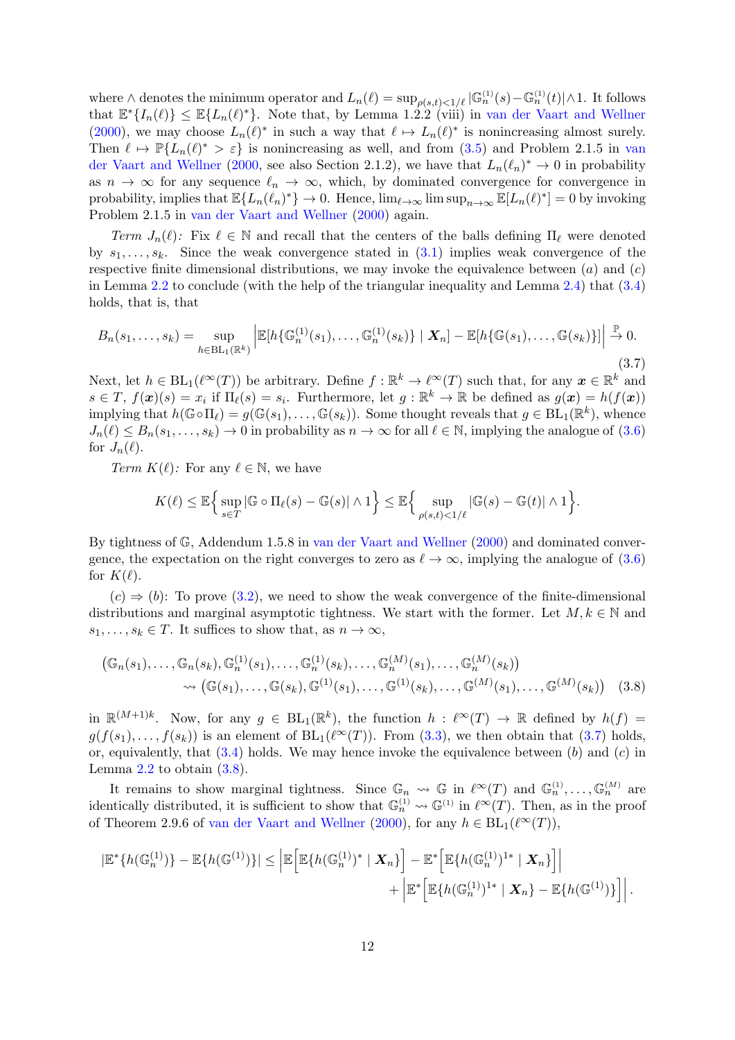where  $\wedge$  denotes the minimum operator and  $L_n(\ell) = \sup_{\rho(s,t) \leq 1/\ell} |\mathbb{G}_n^{(1)}(s) - \mathbb{G}_n^{(1)}(t)| \wedge 1$ . It follows that  $\mathbb{E}^*\{I_n(\ell)\}\leq \mathbb{E}\{L_n(\ell)^*\}$ . Note that, by Lemma 1.2.2 (viii) in [van der Vaart and Wellner](#page-17-5) [\(2000\)](#page-17-5), we may choose  $L_n(\ell)^*$  in such a way that  $\ell \mapsto L_n(\ell)^*$  is nonincreasing almost surely. Then  $\ell \mapsto \mathbb{P}\{L_n(\ell)^* > \varepsilon\}$  is nonincreasing as well, and from [\(3.5\)](#page-10-1) and Problem 2.1.5 in [van](#page-17-5) [der Vaart and Wellner](#page-17-5) [\(2000,](#page-17-5) see also Section 2.1.2), we have that  $L_n(\ell_n)^* \to 0$  in probability as  $n \to \infty$  for any sequence  $\ell_n \to \infty$ , which, by dominated convergence for convergence in probability, implies that  $\mathbb{E}\{L_n(\ell_n)^*\}\to 0$ . Hence,  $\lim_{\ell\to\infty} \limsup_{n\to\infty} \mathbb{E}[L_n(\ell)^*]=0$  by invoking Problem 2.1.5 in [van der Vaart and Wellner](#page-17-5) [\(2000\)](#page-17-5) again.

Term  $J_n(\ell)$ : Fix  $\ell \in \mathbb{N}$  and recall that the centers of the balls defining  $\Pi_\ell$  were denoted by  $s_1, \ldots, s_k$ . Since the weak convergence stated in  $(3.1)$  implies weak convergence of the respective finite dimensional distributions, we may invoke the equivalence between  $(a)$  and  $(c)$ in Lemma [2.2](#page-4-0) to conclude (with the help of the triangular inequality and Lemma [2.4\)](#page-5-0) that [\(3.4\)](#page-10-2) holds, that is, that

<span id="page-11-0"></span>
$$
B_n(s_1,\ldots,s_k)=\sup_{h\in \mathrm{BL}_1(\mathbb{R}^k)}\left|\mathbb{E}[h\{\mathbb{G}_n^{(1)}(s_1),\ldots,\mathbb{G}_n^{(1)}(s_k)\}\mid \bm{X}_n]-\mathbb{E}[h\{\mathbb{G}(s_1),\ldots,\mathbb{G}(s_k)\}]\right|\overset{\mathbb{P}}{\to} 0.
$$

(3.7) Next, let  $h \in BL_1(\ell^{\infty}(T))$  be arbitrary. Define  $f : \mathbb{R}^k \to \ell^{\infty}(T)$  such that, for any  $x \in \mathbb{R}^k$  and  $s \in T$ ,  $f(\mathbf{x})(s) = x_i$  if  $\Pi_\ell(s) = s_i$ . Furthermore, let  $g : \mathbb{R}^k \to \mathbb{R}$  be defined as  $g(\mathbf{x}) = h(f(\mathbf{x}))$ implying that  $h(\mathbb{G} \circ \Pi_{\ell}) = g(\mathbb{G}(s_1), \dots, \mathbb{G}(s_k)).$  Some thought reveals that  $g \in BL_1(\mathbb{R}^k)$ , whence  $J_n(\ell) \leq B_n(s_1, \ldots, s_k) \to 0$  in probability as  $n \to \infty$  for all  $\ell \in \mathbb{N}$ , implying the analogue of [\(3.6\)](#page-10-0) for  $J_n(\ell)$ .

Term  $K(\ell)$ : For any  $\ell \in \mathbb{N}$ , we have

<span id="page-11-1"></span>
$$
K(\ell) \leq \mathbb{E}\Big\{\sup_{s\in T}|\mathbb{G}\circ\Pi_\ell(s)-\mathbb{G}(s)|\wedge 1\Big\} \leq \mathbb{E}\Big\{\sup_{\rho(s,t)<1/\ell}|\mathbb{G}(s)-\mathbb{G}(t)|\wedge 1\Big\}.
$$

By tightness of G, Addendum 1.5.8 in [van der Vaart and Wellner](#page-17-5) [\(2000\)](#page-17-5) and dominated convergence, the expectation on the right converges to zero as  $\ell \to \infty$ , implying the analogue of [\(3.6\)](#page-10-0) for  $K(\ell)$ .

 $(c) \Rightarrow (b)$ : To prove [\(3.2\)](#page-8-3), we need to show the weak convergence of the finite-dimensional distributions and marginal asymptotic tightness. We start with the former. Let  $M, k \in \mathbb{N}$  and  $s_1, \ldots, s_k \in T$ . It suffices to show that, as  $n \to \infty$ ,

$$
\begin{aligned} \left(\mathbb{G}_n(s_1),\ldots,\mathbb{G}_n(s_k),\mathbb{G}_n^{(1)}(s_1),\ldots,\mathbb{G}_n^{(1)}(s_k),\ldots,\mathbb{G}_n^{(M)}(s_1),\ldots,\mathbb{G}_n^{(M)}(s_k)\right) \\ &\leadsto \left(\mathbb{G}(s_1),\ldots,\mathbb{G}(s_k),\mathbb{G}^{(1)}(s_1),\ldots,\mathbb{G}^{(1)}(s_k),\ldots,\mathbb{G}^{(M)}(s_1),\ldots,\mathbb{G}^{(M)}(s_k)\right) \end{aligned} \tag{3.8}
$$

in  $\mathbb{R}^{(M+1)k}$ . Now, for any  $g \in BL_1(\mathbb{R}^k)$ , the function  $h : \ell^{\infty}(T) \to \mathbb{R}$  defined by  $h(f) =$  $g(f(s_1),..., f(s_k))$  is an element of  $BL_1(\ell^{\infty}(T))$ . From [\(3.3\)](#page-8-1), we then obtain that [\(3.7\)](#page-11-0) holds, or, equivalently, that  $(3.4)$  holds. We may hence invoke the equivalence between  $(b)$  and  $(c)$  in Lemma  $2.2$  to obtain  $(3.8)$ .

It remains to show marginal tightness. Since  $\mathbb{G}_n \rightsquigarrow \mathbb{G}$  in  $\ell^{\infty}(T)$  and  $\mathbb{G}_n^{(1)}, \ldots, \mathbb{G}_n^{(M)}$  are identically distributed, it is sufficient to show that  $\mathbb{G}_n^{(1)} \rightsquigarrow \mathbb{G}^{(1)}$  in  $\ell^{\infty}(T)$ . Then, as in the proof of Theorem 2.9.6 of [van der Vaart and Wellner](#page-17-5) [\(2000\)](#page-17-5), for any  $h \in BL_1(\ell^{\infty}(T)),$ 

$$
|\mathbb{E}^*\{h(\mathbb{G}_n^{(1)})\}-\mathbb{E}\{h(\mathbb{G}^{(1)})\}|\leq \left|\mathbb{E}\left[\mathbb{E}\{h(\mathbb{G}_n^{(1)})^* \mid \mathbf{X}_n\}\right]-\mathbb{E}^*\left[\mathbb{E}\{h(\mathbb{G}_n^{(1)})^{1*} \mid \mathbf{X}_n\}\right]\right| + \left|\mathbb{E}^*\left[\mathbb{E}\{h(\mathbb{G}_n^{(1)})^{1*} \mid \mathbf{X}_n\}-\mathbb{E}\{h(\mathbb{G}^{(1)})\}\right]\right|.
$$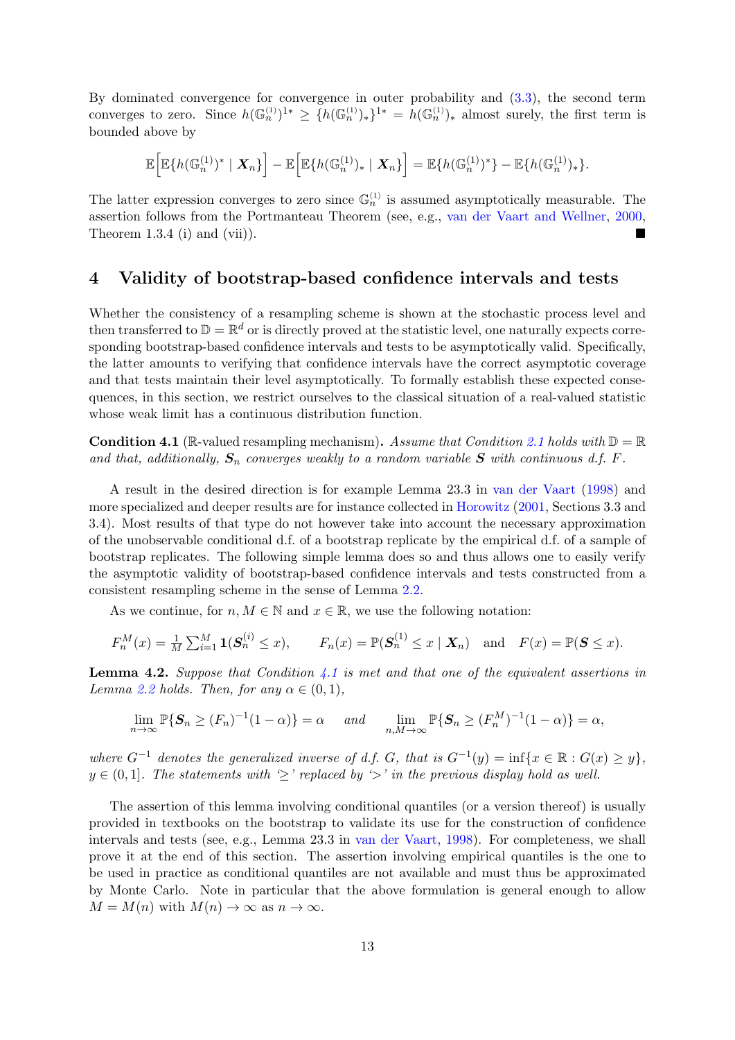By dominated convergence for convergence in outer probability and [\(3.3\)](#page-8-1), the second term converges to zero. Since  $h(\mathbb{G}_n^{(1)})^{\mathbb{1}*} \geq \{h(\mathbb{G}_n^{(1)})_*\}^{\mathbb{1}*} = h(\mathbb{G}_n^{(1)})_*$  almost surely, the first term is bounded above by

$$
\mathbb{E}\Big[\mathbb{E}\big\{h(\mathbb{G}_n^{(1)})^*\mid \mathbf{X}_n\big\}\Big]-\mathbb{E}\Big[\mathbb{E}\big\{h(\mathbb{G}_n^{(1)})_*\mid \mathbf{X}_n\big\}\Big]=\mathbb{E}\big\{h(\mathbb{G}_n^{(1)})^*\big\}-\mathbb{E}\big\{h(\mathbb{G}_n^{(1)})_*\big\}.
$$

The latter expression converges to zero since  $\mathbb{G}_n^{(1)}$  is assumed asymptotically measurable. The assertion follows from the Portmanteau Theorem (see, e.g., [van der Vaart and Wellner,](#page-17-5) [2000,](#page-17-5) Theorem 1.3.4 (i) and (vii)).

#### <span id="page-12-0"></span>4 Validity of bootstrap-based confidence intervals and tests

Whether the consistency of a resampling scheme is shown at the stochastic process level and then transferred to  $\mathbb{D} = \mathbb{R}^d$  or is directly proved at the statistic level, one naturally expects corresponding bootstrap-based confidence intervals and tests to be asymptotically valid. Specifically, the latter amounts to verifying that confidence intervals have the correct asymptotic coverage and that tests maintain their level asymptotically. To formally establish these expected consequences, in this section, we restrict ourselves to the classical situation of a real-valued statistic whose weak limit has a continuous distribution function.

<span id="page-12-1"></span>**Condition 4.1** (R-valued resampling mechanism). Assume that Condition [2.1](#page-3-0) holds with  $D = R$ and that, additionally,  $S_n$  converges weakly to a random variable S with continuous d.f. F.

A result in the desired direction is for example Lemma 23.3 in [van der Vaart](#page-17-2) [\(1998\)](#page-17-2) and more specialized and deeper results are for instance collected in [Horowitz](#page-17-3) [\(2001,](#page-17-3) Sections 3.3 and 3.4). Most results of that type do not however take into account the necessary approximation of the unobservable conditional d.f. of a bootstrap replicate by the empirical d.f. of a sample of bootstrap replicates. The following simple lemma does so and thus allows one to easily verify the asymptotic validity of bootstrap-based confidence intervals and tests constructed from a consistent resampling scheme in the sense of Lemma [2.2.](#page-4-0)

As we continue, for  $n, M \in \mathbb{N}$  and  $x \in \mathbb{R}$ , we use the following notation:

$$
F_n^M(x) = \frac{1}{M} \sum_{i=1}^M \mathbf{1}(\mathbf{S}_n^{(i)} \le x), \qquad F_n(x) = \mathbb{P}(\mathbf{S}_n^{(1)} \le x \mid \mathbf{X}_n) \quad \text{and} \quad F(x) = \mathbb{P}(\mathbf{S} \le x).
$$

<span id="page-12-2"></span>**Lemma 4.2.** Suppose that Condition [4.1](#page-12-1) is met and that one of the equivalent assertions in Lemma [2.2](#page-4-0) holds. Then, for any  $\alpha \in (0,1)$ ,

$$
\lim_{n \to \infty} \mathbb{P}\{\mathbf{S}_n \ge (F_n)^{-1}(1-\alpha)\} = \alpha \quad \text{and} \quad \lim_{n,M \to \infty} \mathbb{P}\{\mathbf{S}_n \ge (F_n^M)^{-1}(1-\alpha)\} = \alpha,
$$

where  $G^{-1}$  denotes the generalized inverse of d.f. G, that is  $G^{-1}(y) = \inf\{x \in \mathbb{R} : G(x) \geq y\},\$  $y \in (0,1]$ . The statements with  $\geq'$  replaced by  $\geq'$  in the previous display hold as well.

The assertion of this lemma involving conditional quantiles (or a version thereof) is usually provided in textbooks on the bootstrap to validate its use for the construction of confidence intervals and tests (see, e.g., Lemma 23.3 in [van der Vaart,](#page-17-2) [1998\)](#page-17-2). For completeness, we shall prove it at the end of this section. The assertion involving empirical quantiles is the one to be used in practice as conditional quantiles are not available and must thus be approximated by Monte Carlo. Note in particular that the above formulation is general enough to allow  $M = M(n)$  with  $M(n) \to \infty$  as  $n \to \infty$ .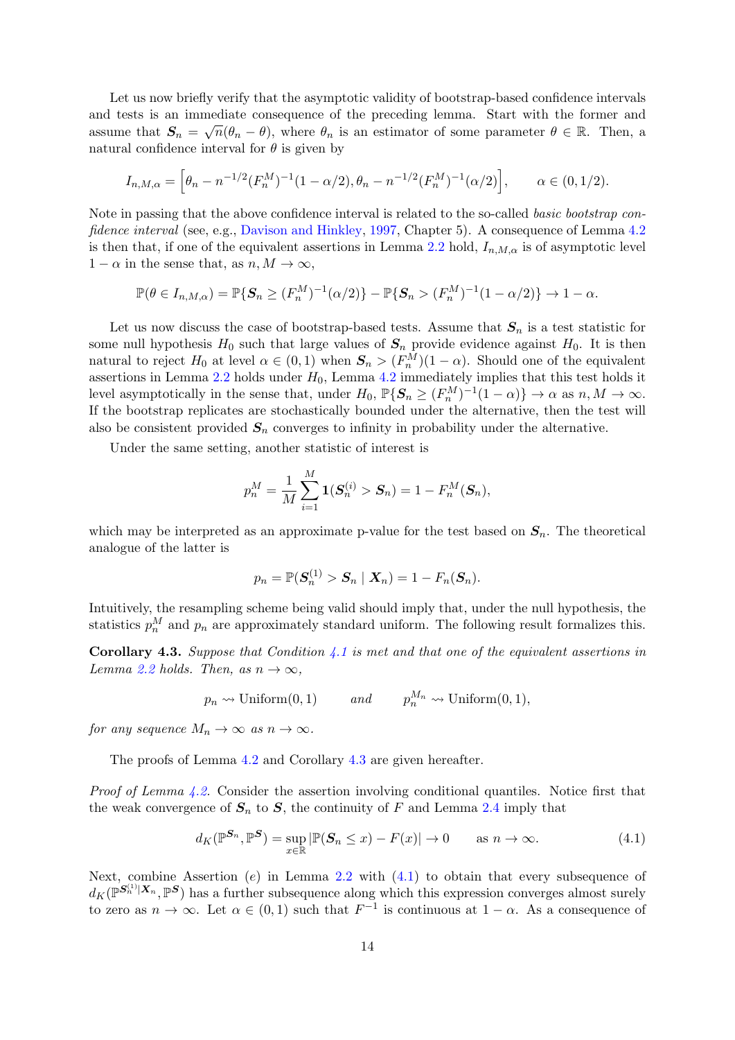Let us now briefly verify that the asymptotic validity of bootstrap-based confidence intervals and tests is an immediate consequence of the preceding lemma. Start with the former and assume that  $S_n = \sqrt{n}(\theta_n - \theta)$ , where  $\theta_n$  is an estimator of some parameter  $\theta \in \mathbb{R}$ . Then, a natural confidence interval for  $\theta$  is given by

$$
I_{n,M,\alpha} = \left[\theta_n - n^{-1/2} (F_n^M)^{-1} (1 - \alpha/2), \theta_n - n^{-1/2} (F_n^M)^{-1} (\alpha/2)\right], \qquad \alpha \in (0, 1/2).
$$

Note in passing that the above confidence interval is related to the so-called basic bootstrap con-fidence interval (see, e.g., [Davison and Hinkley,](#page-16-11) [1997,](#page-16-11) Chapter 5). A consequence of Lemma [4.2](#page-12-2) is then that, if one of the equivalent assertions in Lemma [2.2](#page-4-0) hold,  $I_{n,M,\alpha}$  is of asymptotic level  $1 - \alpha$  in the sense that, as  $n, M \to \infty$ ,

$$
\mathbb{P}(\theta \in I_{n,M,\alpha}) = \mathbb{P}\{S_n \ge (F_n^M)^{-1}(\alpha/2)\} - \mathbb{P}\{S_n > (F_n^M)^{-1}(1-\alpha/2)\} \to 1-\alpha.
$$

Let us now discuss the case of bootstrap-based tests. Assume that  $S_n$  is a test statistic for some null hypothesis  $H_0$  such that large values of  $S_n$  provide evidence against  $H_0$ . It is then natural to reject  $H_0$  at level  $\alpha \in (0,1)$  when  $S_n > (F_n^M)(1-\alpha)$ . Should one of the equivalent assertions in Lemma  $2.2$  holds under  $H_0$ , Lemma  $4.2$  immediately implies that this test holds it level asymptotically in the sense that, under  $H_0$ ,  $\mathbb{P}\{S_n \ge (F_n^M)^{-1}(1-\alpha)\} \to \alpha$  as  $n, M \to \infty$ . If the bootstrap replicates are stochastically bounded under the alternative, then the test will also be consistent provided  $S_n$  converges to infinity in probability under the alternative.

Under the same setting, another statistic of interest is

$$
p_n^M = \frac{1}{M} \sum_{i=1}^M \mathbf{1}(\boldsymbol{S}_n^{(i)} > \boldsymbol{S}_n) = 1 - F_n^M(\boldsymbol{S}_n),
$$

which may be interpreted as an approximate p-value for the test based on  $S_n$ . The theoretical analogue of the latter is

$$
p_n = \mathbb{P}(\boldsymbol{S}_n^{(1)} > \boldsymbol{S}_n \mid \boldsymbol{X}_n) = 1 - F_n(\boldsymbol{S}_n).
$$

Intuitively, the resampling scheme being valid should imply that, under the null hypothesis, the statistics  $p_n^M$  and  $p_n$  are approximately standard uniform. The following result formalizes this.

<span id="page-13-0"></span>**Corollary 4.3.** Suppose that Condition [4.1](#page-12-1) is met and that one of the equivalent assertions in Lemma [2.2](#page-4-0) holds. Then, as  $n \to \infty$ ,

$$
p_n \leadsto \text{Uniform}(0, 1)
$$
 and  $p_n^{M_n} \leadsto \text{Uniform}(0, 1),$ 

for any sequence  $M_n \to \infty$  as  $n \to \infty$ .

The proofs of Lemma [4.2](#page-12-2) and Corollary [4.3](#page-13-0) are given hereafter.

Proof of Lemma [4.2.](#page-12-2) Consider the assertion involving conditional quantiles. Notice first that the weak convergence of  $S_n$  to S, the continuity of F and Lemma [2.4](#page-5-0) imply that

<span id="page-13-1"></span>
$$
d_K(\mathbb{P}^{\mathbf{S}_n}, \mathbb{P}^{\mathbf{S}}) = \sup_{x \in \mathbb{R}} |\mathbb{P}(\mathbf{S}_n \le x) - F(x)| \to 0 \quad \text{as } n \to \infty. \tag{4.1}
$$

Next, combine Assertion  $(e)$  in Lemma [2.2](#page-4-0) with  $(4.1)$  to obtain that every subsequence of  $d_K(\mathbb{P}^{\mathbf{S}_n^{(1)}|X_n}, \mathbb{P}^{\mathbf{S}})$  has a further subsequence along which this expression converges almost surely to zero as  $n \to \infty$ . Let  $\alpha \in (0,1)$  such that  $F^{-1}$  is continuous at  $1-\alpha$ . As a consequence of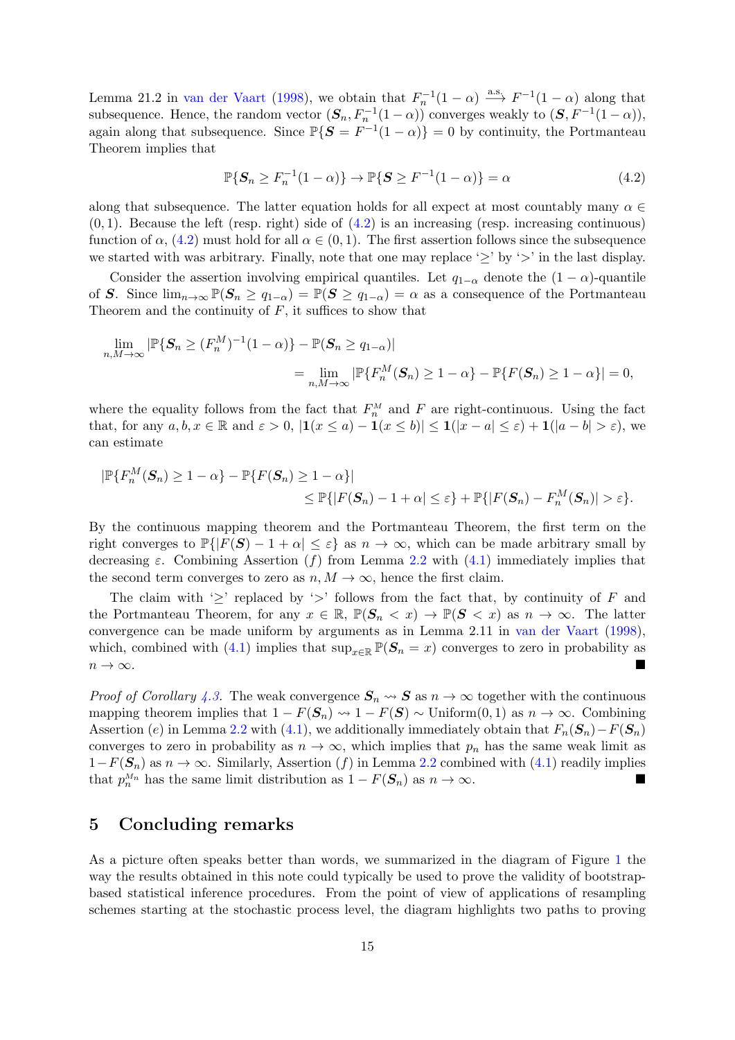Lemma 21.2 in [van der Vaart](#page-17-2) [\(1998\)](#page-17-2), we obtain that  $F_n^{-1}(1-\alpha) \stackrel{\text{a.s.}}{\longrightarrow} F^{-1}(1-\alpha)$  along that subsequence. Hence, the random vector  $(S_n, F_n^{-1}(1-\alpha))$  converges weakly to  $(S, F^{-1}(1-\alpha))$ , again along that subsequence. Since  $\mathbb{P}\{S = F^{-1}(1-\alpha)\} = 0$  by continuity, the Portmanteau Theorem implies that

<span id="page-14-0"></span>
$$
\mathbb{P}\{\mathbf{S}_n \ge F_n^{-1}(1-\alpha)\} \to \mathbb{P}\{\mathbf{S} \ge F^{-1}(1-\alpha)\} = \alpha \tag{4.2}
$$

along that subsequence. The latter equation holds for all expect at most countably many  $\alpha \in$  $(0, 1)$ . Because the left (resp. right) side of  $(4.2)$  is an increasing (resp. increasing continuous) function of  $\alpha$ , [\(4.2\)](#page-14-0) must hold for all  $\alpha \in (0,1)$ . The first assertion follows since the subsequence we started with was arbitrary. Finally, note that one may replace ' $\geq$ ' by ' $>$ ' in the last display.

Consider the assertion involving empirical quantiles. Let  $q_{1-\alpha}$  denote the  $(1-\alpha)$ -quantile of S. Since  $\lim_{n\to\infty} \mathbb{P}(S_n \ge q_{1-\alpha}) = \mathbb{P}(S \ge q_{1-\alpha}) = \alpha$  as a consequence of the Portmanteau Theorem and the continuity of  $F$ , it suffices to show that

$$
\lim_{n,M\to\infty} |\mathbb{P}\{S_n \ge (F_n^M)^{-1}(1-\alpha)\} - \mathbb{P}(S_n \ge q_{1-\alpha})|
$$
  
= 
$$
\lim_{n,M\to\infty} |\mathbb{P}\{F_n^M(S_n) \ge 1-\alpha\} - \mathbb{P}\{F(S_n) \ge 1-\alpha\}| = 0,
$$

where the equality follows from the fact that  $F_n^M$  and F are right-continuous. Using the fact that, for any  $a, b, x \in \mathbb{R}$  and  $\varepsilon > 0$ ,  $|\mathbf{1}(x \le a) - \mathbf{1}(x \le b)| \le \mathbf{1}(|x - a| \le \varepsilon) + \mathbf{1}(|a - b| > \varepsilon)$ , we can estimate

$$
|\mathbb{P}\{F_n^M(\mathbf{S}_n) \geq 1 - \alpha\} - \mathbb{P}\{F(\mathbf{S}_n) \geq 1 - \alpha\}|
$$
  
\$\leq \mathbb{P}\{|F(\mathbf{S}\_n) - 1 + \alpha| \leq \varepsilon\} + \mathbb{P}\{|F(\mathbf{S}\_n) - F\_n^M(\mathbf{S}\_n)| > \varepsilon\}\$.

By the continuous mapping theorem and the Portmanteau Theorem, the first term on the right converges to  $\mathbb{P}\{|F(\mathbf{S})-1+\alpha|\leq \varepsilon\}$  as  $n \to \infty$ , which can be made arbitrary small by decreasing  $\varepsilon$ . Combining Assertion (f) from Lemma [2.2](#page-4-0) with [\(4.1\)](#page-13-1) immediately implies that the second term converges to zero as  $n, M \to \infty$ , hence the first claim.

The claim with ' $\geq$ ' replaced by ' $>$ ' follows from the fact that, by continuity of F and the Portmanteau Theorem, for any  $x \in \mathbb{R}$ ,  $\mathbb{P}(\mathbf{S}_n < x) \to \mathbb{P}(\mathbf{S} < x)$  as  $n \to \infty$ . The latter convergence can be made uniform by arguments as in Lemma 2.11 in [van der Vaart](#page-17-2) [\(1998\)](#page-17-2), which, combined with [\(4.1\)](#page-13-1) implies that  $\sup_{x\in\mathbb{R}} \mathbb{P}(S_n = x)$  converges to zero in probability as  $n \to \infty$ .

*Proof of Corollary [4.3.](#page-13-0)* The weak convergence  $S_n \leadsto S$  as  $n \to \infty$  together with the continuous mapping theorem implies that  $1 - F(S_n) \rightsquigarrow 1 - F(S) \sim$  Uniform $(0, 1)$  as  $n \to \infty$ . Combining Assertion (e) in Lemma [2.2](#page-4-0) with [\(4.1\)](#page-13-1), we additionally immediately obtain that  $F_n(\mathbf{S}_n)-F(\mathbf{S}_n)$ converges to zero in probability as  $n \to \infty$ , which implies that  $p_n$  has the same weak limit as  $1-F(S_n)$  as  $n \to \infty$ . Similarly, Assertion (f) in Lemma [2.2](#page-4-0) combined with [\(4.1\)](#page-13-1) readily implies that  $p_n^{M_n}$  has the same limit distribution as  $1 - F(S_n)$  as  $n \to \infty$ .

#### 5 Concluding remarks

As a picture often speaks better than words, we summarized in the diagram of Figure [1](#page-15-0) the way the results obtained in this note could typically be used to prove the validity of bootstrapbased statistical inference procedures. From the point of view of applications of resampling schemes starting at the stochastic process level, the diagram highlights two paths to proving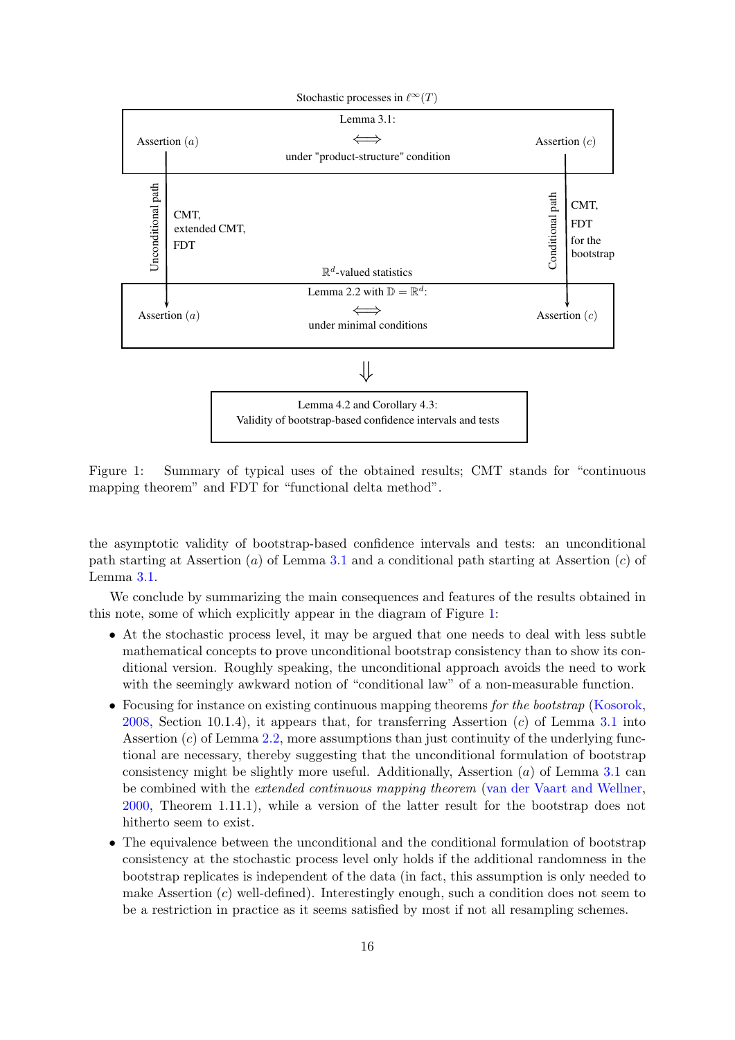

<span id="page-15-0"></span>Figure 1: Summary of typical uses of the obtained results; CMT stands for "continuous mapping theorem" and FDT for "functional delta method".

the asymptotic validity of bootstrap-based confidence intervals and tests: an unconditional path starting at Assertion  $(a)$  of Lemma [3.1](#page-8-0) and a conditional path starting at Assertion  $(c)$  of Lemma [3.1.](#page-8-0)

We conclude by summarizing the main consequences and features of the results obtained in this note, some of which explicitly appear in the diagram of Figure [1:](#page-15-0)

- At the stochastic process level, it may be argued that one needs to deal with less subtle mathematical concepts to prove unconditional bootstrap consistency than to show its conditional version. Roughly speaking, the unconditional approach avoids the need to work with the seemingly awkward notion of "conditional law" of a non-measurable function.
- Focusing for instance on existing continuous mapping theorems for the bootstrap [\(Kosorok,](#page-17-10) [2008,](#page-17-10) Section 10.1.4), it appears that, for transferring Assertion  $(c)$  of Lemma [3.1](#page-8-0) into Assertion  $(c)$  of Lemma [2.2,](#page-4-0) more assumptions than just continuity of the underlying functional are necessary, thereby suggesting that the unconditional formulation of bootstrap consistency might be slightly more useful. Additionally, Assertion  $(a)$  of Lemma [3.1](#page-8-0) can be combined with the extended continuous mapping theorem [\(van der Vaart and Wellner,](#page-17-5) [2000,](#page-17-5) Theorem 1.11.1), while a version of the latter result for the bootstrap does not hitherto seem to exist.
- The equivalence between the unconditional and the conditional formulation of bootstrap consistency at the stochastic process level only holds if the additional randomness in the bootstrap replicates is independent of the data (in fact, this assumption is only needed to make Assertion  $(c)$  well-defined). Interestingly enough, such a condition does not seem to be a restriction in practice as it seems satisfied by most if not all resampling schemes.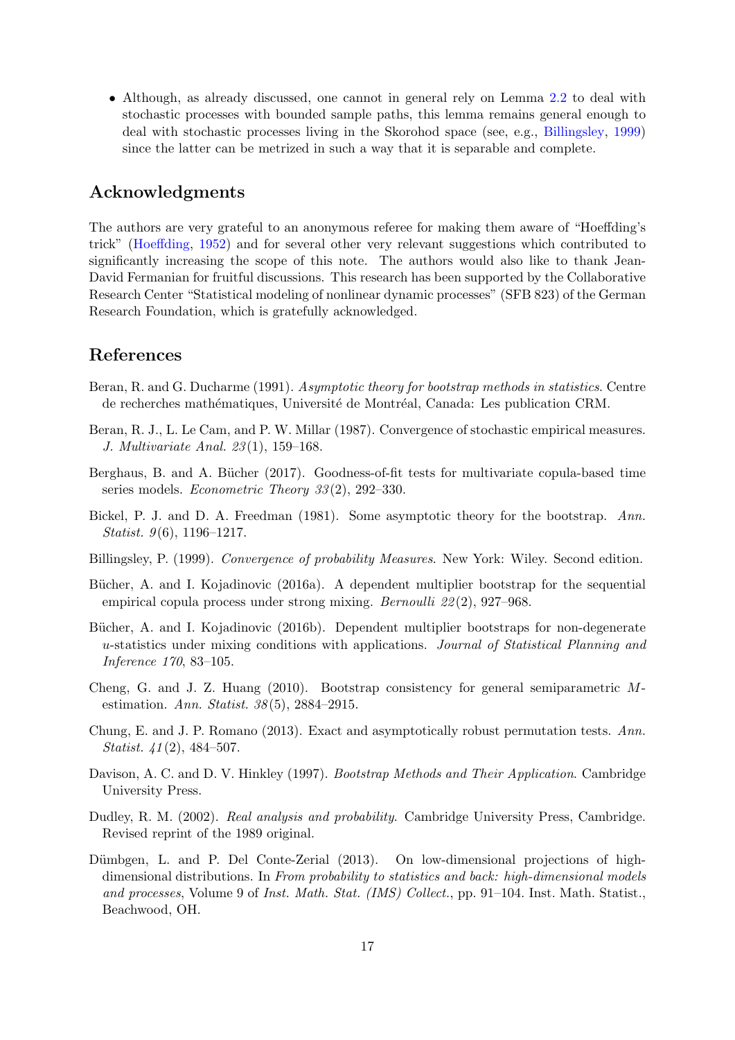• Although, as already discussed, one cannot in general rely on Lemma [2.2](#page-4-0) to deal with stochastic processes with bounded sample paths, this lemma remains general enough to deal with stochastic processes living in the Skorohod space (see, e.g., [Billingsley,](#page-16-8) [1999\)](#page-16-8) since the latter can be metrized in such a way that it is separable and complete.

### Acknowledgments

The authors are very grateful to an anonymous referee for making them aware of "Hoeffding's trick" [\(Hoeffding,](#page-17-4) [1952\)](#page-17-4) and for several other very relevant suggestions which contributed to significantly increasing the scope of this note. The authors would also like to thank Jean-David Fermanian for fruitful discussions. This research has been supported by the Collaborative Research Center "Statistical modeling of nonlinear dynamic processes" (SFB 823) of the German Research Foundation, which is gratefully acknowledged.

#### References

- <span id="page-16-6"></span>Beran, R. and G. Ducharme (1991). Asymptotic theory for bootstrap methods in statistics. Centre de recherches mathématiques, Université de Montréal, Canada: Les publication CRM.
- <span id="page-16-2"></span>Beran, R. J., L. Le Cam, and P. W. Millar (1987). Convergence of stochastic empirical measures. J. Multivariate Anal. 23 (1), 159–168.
- <span id="page-16-9"></span>Berghaus, B. and A. Bücher (2017). Goodness-of-fit tests for multivariate copula-based time series models. Econometric Theory 33 (2), 292–330.
- <span id="page-16-0"></span>Bickel, P. J. and D. A. Freedman (1981). Some asymptotic theory for the bootstrap. Ann. *Statist.*  $9(6)$ , 1196–1217.
- <span id="page-16-8"></span>Billingsley, P. (1999). Convergence of probability Measures. New York: Wiley. Second edition.
- <span id="page-16-3"></span>Bücher, A. and I. Kojadinovic (2016a). A dependent multiplier bootstrap for the sequential empirical copula process under strong mixing. *Bernoulli* 22(2), 927–968.
- <span id="page-16-10"></span>Bücher, A. and I. Kojadinovic (2016b). Dependent multiplier bootstraps for non-degenerate u-statistics under mixing conditions with applications. Journal of Statistical Planning and Inference 170, 83–105.
- <span id="page-16-4"></span>Cheng, G. and J. Z. Huang (2010). Bootstrap consistency for general semiparametric Mestimation. Ann. Statist. 38 (5), 2884–2915.
- <span id="page-16-5"></span>Chung, E. and J. P. Romano (2013). Exact and asymptotically robust permutation tests. Ann. Statist.  $41(2)$ , 484–507.
- <span id="page-16-11"></span>Davison, A. C. and D. V. Hinkley (1997). Bootstrap Methods and Their Application. Cambridge University Press.
- <span id="page-16-7"></span>Dudley, R. M. (2002). Real analysis and probability. Cambridge University Press, Cambridge. Revised reprint of the 1989 original.
- <span id="page-16-1"></span>Dümbgen, L. and P. Del Conte-Zerial (2013). On low-dimensional projections of highdimensional distributions. In From probability to statistics and back: high-dimensional models and processes, Volume 9 of Inst. Math. Stat. (IMS) Collect., pp. 91–104. Inst. Math. Statist., Beachwood, OH.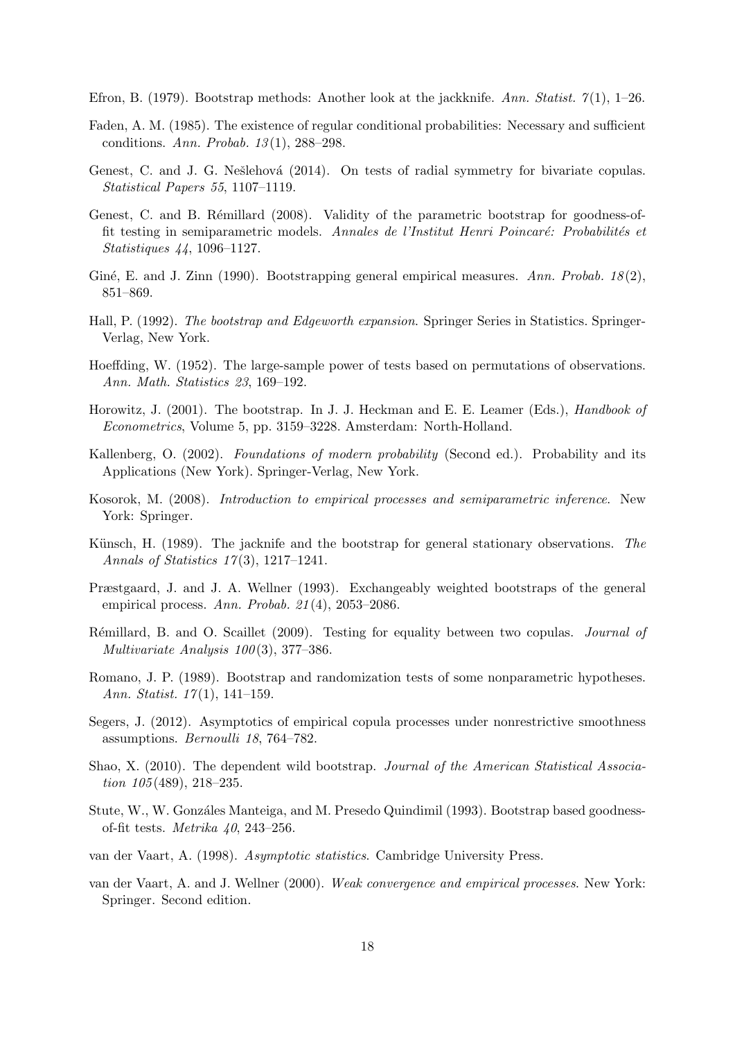<span id="page-17-12"></span>Efron, B. (1979). Bootstrap methods: Another look at the jackknife. Ann. Statist.  $7(1)$ , 1–26.

- <span id="page-17-0"></span>Faden, A. M. (1985). The existence of regular conditional probabilities: Necessary and sufficient conditions. Ann. Probab. 13 (1), 288–298.
- <span id="page-17-18"></span>Genest, C. and J. G. Nešlehová (2014). On tests of radial symmetry for bivariate copulas. Statistical Papers 55, 1107–1119.
- <span id="page-17-16"></span>Genest, C. and B. Rémillard (2008). Validity of the parametric bootstrap for goodness-offit testing in semiparametric models. Annales de l'Institut Henri Poincaré: Probabilités et Statistiques 44, 1096–1127.
- <span id="page-17-6"></span>Giné, E. and J. Zinn (1990). Bootstrapping general empirical measures. Ann. Probab.  $18(2)$ , 851–869.
- <span id="page-17-11"></span>Hall, P. (1992). The bootstrap and Edgeworth expansion. Springer Series in Statistics. Springer-Verlag, New York.
- <span id="page-17-4"></span>Hoeffding, W. (1952). The large-sample power of tests based on permutations of observations. Ann. Math. Statistics 23, 169–192.
- <span id="page-17-3"></span>Horowitz, J. (2001). The bootstrap. In J. J. Heckman and E. E. Leamer (Eds.), *Handbook of* Econometrics, Volume 5, pp. 3159–3228. Amsterdam: North-Holland.
- <span id="page-17-1"></span>Kallenberg, O. (2002). Foundations of modern probability (Second ed.). Probability and its Applications (New York). Springer-Verlag, New York.
- <span id="page-17-10"></span>Kosorok, M. (2008). Introduction to empirical processes and semiparametric inference. New York: Springer.
- <span id="page-17-13"></span>Künsch, H. (1989). The jacknife and the bootstrap for general stationary observations. The Annals of Statistics 17 (3), 1217–1241.
- <span id="page-17-7"></span>Præstgaard, J. and J. A. Wellner (1993). Exchangeably weighted bootstraps of the general empirical process. Ann. Probab.  $21(4)$ , 2053–2086.
- <span id="page-17-8"></span>Rémillard, B. and O. Scaillet (2009). Testing for equality between two copulas. *Journal of* Multivariate Analysis  $100(3)$ , 377–386.
- <span id="page-17-17"></span>Romano, J. P. (1989). Bootstrap and randomization tests of some nonparametric hypotheses. Ann. Statist. 17(1), 141–159.
- <span id="page-17-9"></span>Segers, J. (2012). Asymptotics of empirical copula processes under nonrestrictive smoothness assumptions. Bernoulli 18, 764–782.
- <span id="page-17-14"></span>Shao, X. (2010). The dependent wild bootstrap. Journal of the American Statistical Association 105(489), 218–235.
- <span id="page-17-15"></span>Stute, W., W. Gonzáles Manteiga, and M. Presedo Quindimil (1993). Bootstrap based goodnessof-fit tests. Metrika 40, 243–256.
- <span id="page-17-2"></span>van der Vaart, A. (1998). Asymptotic statistics. Cambridge University Press.
- <span id="page-17-5"></span>van der Vaart, A. and J. Wellner (2000). Weak convergence and empirical processes. New York: Springer. Second edition.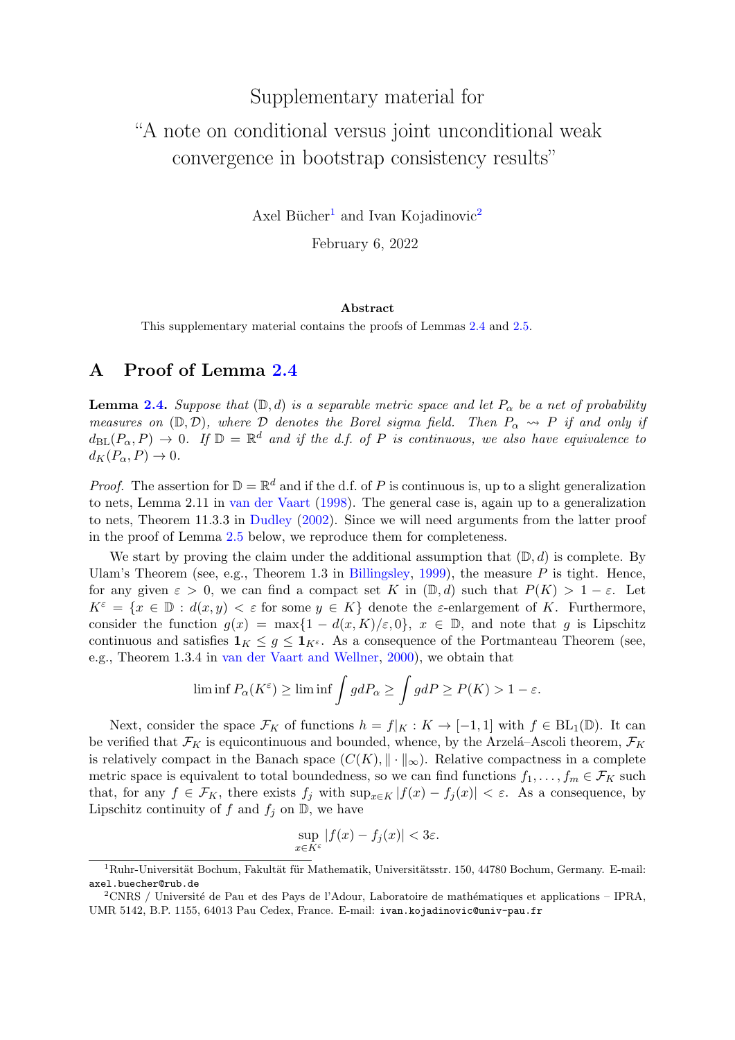# Supplementary material for "A note on conditional versus joint unconditional weak convergence in bootstrap consistency results"

Axel Bücher<sup>[1](#page-18-0)</sup> and Ivan Kojadinovic<sup>[2](#page-18-1)</sup>

February 6, 2022

#### Abstract

This supplementary material contains the proofs of Lemmas [2.4](#page-5-0) and [2.5.](#page-5-1)

### A Proof of Lemma [2.4](#page-5-0)

**Lemma [2.4.](#page-5-0)** Suppose that  $(\mathbb{D}, d)$  is a separable metric space and let  $P_{\alpha}$  be a net of probability measures on  $(\mathbb{D}, \mathcal{D})$ , where  $\mathcal{D}$  denotes the Borel sigma field. Then  $P_{\alpha} \rightsquigarrow P$  if and only if  $d_{\text{BL}}(P_\alpha, P) \to 0$ . If  $\mathbb{D} = \mathbb{R}^d$  and if the d.f. of P is continuous, we also have equivalence to  $d_K(P_\alpha, P) \to 0.$ 

*Proof.* The assertion for  $\mathbb{D} = \mathbb{R}^d$  and if the d.f. of P is continuous is, up to a slight generalization to nets, Lemma 2.11 in [van der Vaart](#page-17-2) [\(1998\)](#page-17-2). The general case is, again up to a generalization to nets, Theorem 11.3.3 in [Dudley](#page-16-7) [\(2002\)](#page-16-7). Since we will need arguments from the latter proof in the proof of Lemma [2.5](#page-5-1) below, we reproduce them for completeness.

We start by proving the claim under the additional assumption that  $(\mathbb{D}, d)$  is complete. By Ulam's Theorem (see, e.g., Theorem 1.3 in [Billingsley,](#page-16-8) [1999\)](#page-16-8), the measure  $P$  is tight. Hence, for any given  $\varepsilon > 0$ , we can find a compact set K in  $(\mathbb{D}, d)$  such that  $P(K) > 1 - \varepsilon$ . Let  $K^{\varepsilon} = \{x \in \mathbb{D} : d(x, y) < \varepsilon \text{ for some } y \in K\}$  denote the  $\varepsilon$ -enlargement of K. Furthermore, consider the function  $g(x) = \max\{1 - d(x,K)/\varepsilon, 0\}$ ,  $x \in \mathbb{D}$ , and note that g is Lipschitz continuous and satisfies  $1_K \leq g \leq 1_{K^{\varepsilon}}$ . As a consequence of the Portmanteau Theorem (see, e.g., Theorem 1.3.4 in [van der Vaart and Wellner,](#page-17-5) [2000\)](#page-17-5), we obtain that

$$
\liminf P_{\alpha}(K^{\varepsilon}) \ge \liminf \int g dP_{\alpha} \ge \int g dP \ge P(K) > 1 - \varepsilon.
$$

Next, consider the space  $\mathcal{F}_K$  of functions  $h = f|_K : K \to [-1,1]$  with  $f \in BL_1(\mathbb{D})$ . It can be verified that  $\mathcal{F}_K$  is equicontinuous and bounded, whence, by the Arzelá–Ascoli theorem,  $\mathcal{F}_K$ is relatively compact in the Banach space  $(C(K), \|\cdot\|_{\infty})$ . Relative compactness in a complete metric space is equivalent to total boundedness, so we can find functions  $f_1, \ldots, f_m \in \mathcal{F}_K$  such that, for any  $f \in \mathcal{F}_K$ , there exists  $f_j$  with  $\sup_{x \in K} |f(x) - f_j(x)| < \varepsilon$ . As a consequence, by Lipschitz continuity of f and  $f_i$  on  $\mathbb{D}$ , we have

$$
\sup_{x \in K^{\varepsilon}} |f(x) - f_j(x)| < 3\varepsilon.
$$

<span id="page-18-0"></span> $1Ruhr$ -Universität Bochum, Fakultät für Mathematik, Universitätsstr. 150, 44780 Bochum, Germany. E-mail: axel.buecher@rub.de

<span id="page-18-1"></span> $2\text{CNRS }$  / Université de Pau et des Pays de l'Adour, Laboratoire de mathématiques et applications – IPRA, UMR 5142, B.P. 1155, 64013 Pau Cedex, France. E-mail: ivan.kojadinovic@univ-pau.fr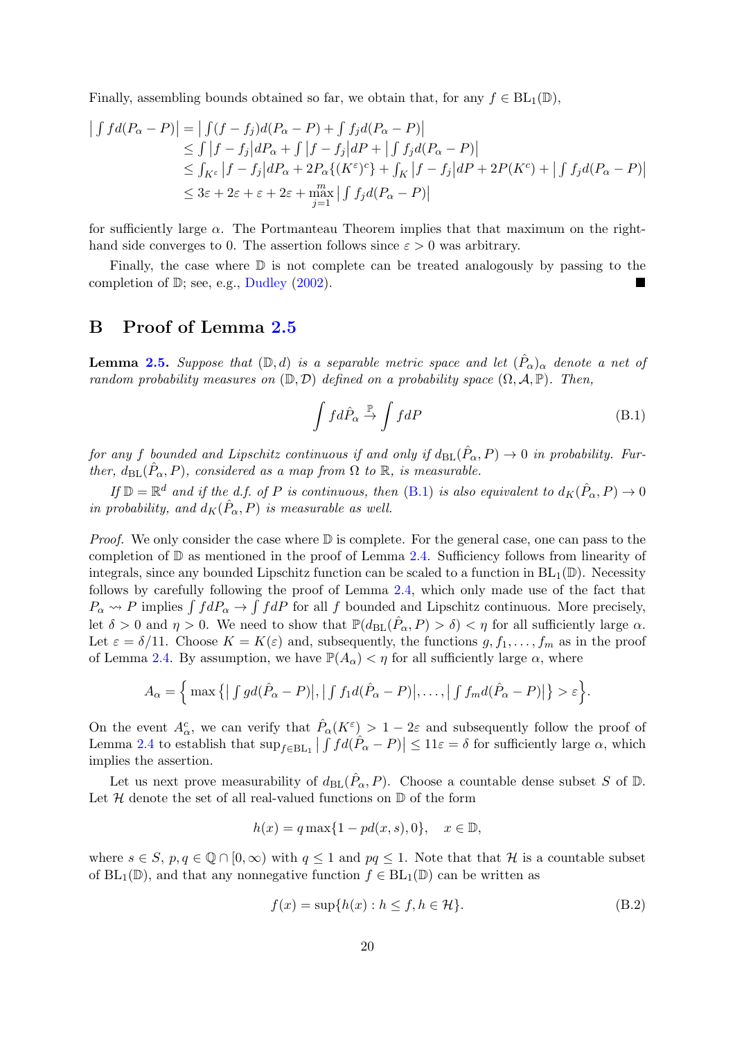Finally, assembling bounds obtained so far, we obtain that, for any  $f \in BL_1(\mathbb{D})$ ,

$$
\begin{aligned}\n\left| \int f d(P_{\alpha} - P) \right| &= \left| \int (f - f_j) d(P_{\alpha} - P) + \int f_j d(P_{\alpha} - P) \right| \\
&\leq \int \left| f - f_j \right| dP_{\alpha} + \int \left| f - f_j \right| dP + \left| \int f_j d(P_{\alpha} - P) \right| \\
&\leq \int_{K^{\varepsilon}} \left| f - f_j \right| dP_{\alpha} + 2P_{\alpha} \{ (K^{\varepsilon})^c \} + \int_K \left| f - f_j \right| dP + 2P(K^c) + \left| \int f_j d(P_{\alpha} - P) \right| \\
&\leq 3\varepsilon + 2\varepsilon + \varepsilon + 2\varepsilon + \max_{j=1}^{m} \left| \int f_j d(P_{\alpha} - P) \right|\n\end{aligned}
$$

for sufficiently large  $\alpha$ . The Portmanteau Theorem implies that that maximum on the righthand side converges to 0. The assertion follows since  $\varepsilon > 0$  was arbitrary.

Finally, the case where  $\mathbb D$  is not complete can be treated analogously by passing to the completion of D; see, e.g., [Dudley](#page-16-7) [\(2002\)](#page-16-7).

#### B Proof of Lemma [2.5](#page-5-1)

**Lemma [2.5.](#page-5-1)** Suppose that  $(D,d)$  is a separable metric space and let  $(\hat{P}_{\alpha})_{\alpha}$  denote a net of random probability measures on  $(\mathbb{D}, \mathcal{D})$  defined on a probability space  $(\Omega, \mathcal{A}, \mathbb{P})$ . Then,

<span id="page-19-0"></span>
$$
\int f d\hat{P}_{\alpha} \stackrel{\mathbb{P}}{\rightarrow} \int f dP \tag{B.1}
$$

for any f bounded and Lipschitz continuous if and only if  $d_{BL}(\hat{P}_{\alpha}, P) \to 0$  in probability. Further,  $d_{BL}(\hat{P}_{\alpha}, P)$ , considered as a map from  $\Omega$  to  $\mathbb{R}$ , is measurable.

If  $\mathbb{D} = \mathbb{R}^d$  and if the d.f. of P is continuous, then [\(B.1\)](#page-19-0) is also equivalent to  $d_K(\hat{P}_\alpha, P) \to 0$ in probability, and  $d_K(\hat{P}_{\alpha}, P)$  is measurable as well.

*Proof.* We only consider the case where  $\mathbb D$  is complete. For the general case, one can pass to the completion of D as mentioned in the proof of Lemma [2.4.](#page-5-0) Sufficiency follows from linearity of integrals, since any bounded Lipschitz function can be scaled to a function in  $BL_1(\mathbb{D})$ . Necessity follows by carefully following the proof of Lemma [2.4,](#page-5-0) which only made use of the fact that  $P_{\alpha} \rightarrow P$  implies  $\int f dP_{\alpha} \rightarrow \int f dP$  for all f bounded and Lipschitz continuous. More precisely, let  $\delta > 0$  and  $\eta > 0$ . We need to show that  $\mathbb{P}(d_{\text{BL}}(\hat{P}_{\alpha}, P) > \delta) < \eta$  for all sufficiently large  $\alpha$ . Let  $\varepsilon = \delta/11$ . Choose  $K = K(\varepsilon)$  and, subsequently, the functions  $g, f_1, \ldots, f_m$  as in the proof of Lemma [2.4.](#page-5-0) By assumption, we have  $\mathbb{P}(A_{\alpha}) < \eta$  for all sufficiently large  $\alpha$ , where

$$
A_{\alpha} = \Big\{ \max \big\{ \big| \int gd(\hat{P}_{\alpha} - P) \big|, \big| \int f_1 d(\hat{P}_{\alpha} - P) \big|, \ldots, \big| \int f_m d(\hat{P}_{\alpha} - P) \big| \big\} > \varepsilon \Big\}.
$$

On the event  $A^c_\alpha$ , we can verify that  $\hat{P}_\alpha(K^{\varepsilon}) > 1 - 2\varepsilon$  and subsequently follow the proof of Lemma [2.4](#page-5-0) to establish that  $\sup_{f \in BL_1} | \int f d(\hat{P}_{\alpha} - P) | \leq 11 \varepsilon = \delta$  for sufficiently large  $\alpha$ , which implies the assertion.

Let us next prove measurability of  $d_{BL}(\hat{P}_{\alpha}, P)$ . Choose a countable dense subset S of D. Let  $H$  denote the set of all real-valued functions on  $D$  of the form

$$
h(x) = q \max\{1 - pd(x, s), 0\}, \quad x \in \mathbb{D},
$$

where  $s \in S$ ,  $p, q \in \mathbb{Q} \cap [0, \infty)$  with  $q \leq 1$  and  $pq \leq 1$ . Note that that H is a countable subset of  $BL_1(\mathbb{D})$ , and that any nonnegative function  $f \in BL_1(\mathbb{D})$  can be written as

<span id="page-19-1"></span>
$$
f(x) = \sup\{h(x) : h \le f, h \in \mathcal{H}\}.
$$
 (B.2)